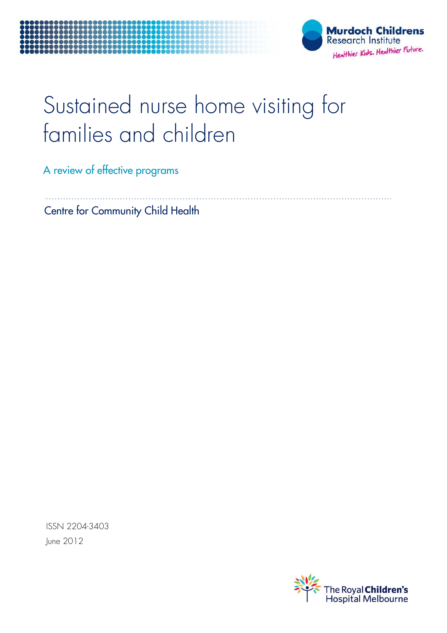

# Sustained nurse home visiting for families and children

A review of effective programs

Centre for Community Child Health

ISSN 2204-3403 June 2012

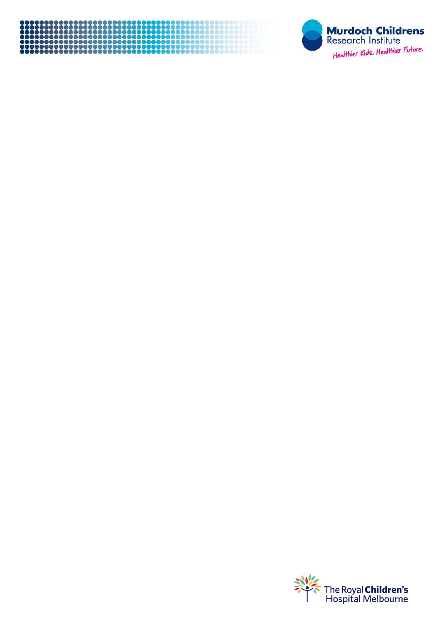



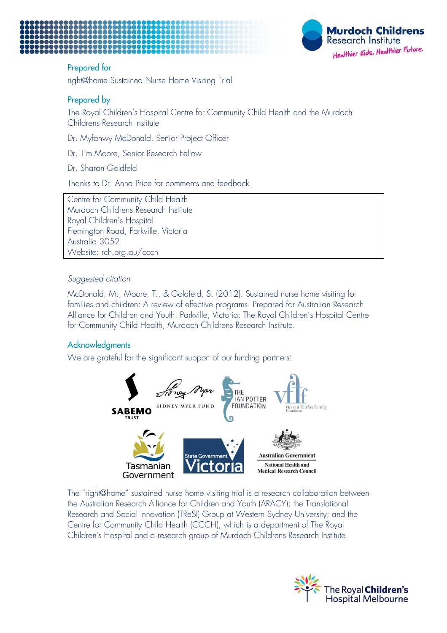



#### Prepared for

right@home Sustained Nurse Home Visiting Trial

#### Prepared by

The Royal Children's Hospital Centre for Community Child Health and the Murdoch Childrens Research Institute

Dr. Myfanwy McDonald, Senior Project Officer

Dr. Tim Moore, Senior Research Fellow

Dr. Sharon Goldfeld

Thanks to Dr. Anna Price for comments and feedback.

Centre for Community Child Health Murdoch Childrens Research Institute Royal Children's Hospital Flemington Road, Parkville, Victoria Australia 3052 Website: rch.org.au/ccch

#### *Suggested citation*

McDonald, M., Moore, T., & Goldfeld, S. (2012). Sustained nurse home visiting for families and children: A review of effective programs. Prepared for Australian Research Alliance for Children and Youth. Parkville, Victoria: The Royal Children's Hospital Centre for Community Child Health, Murdoch Childrens Research Institute.

#### Acknowledgments

We are grateful for the significant support of our funding partners:



The "right@home" sustained nurse home visiting trial is a research collaboration between the Australian Research Alliance for Children and Youth (ARACY); the Translational Research and Social Innovation (TReSI) Group at Western Sydney University; and the Centre for Community Child Health (CCCH), which is a department of The Royal Children's Hospital and a research group of Murdoch Childrens Research Institute.

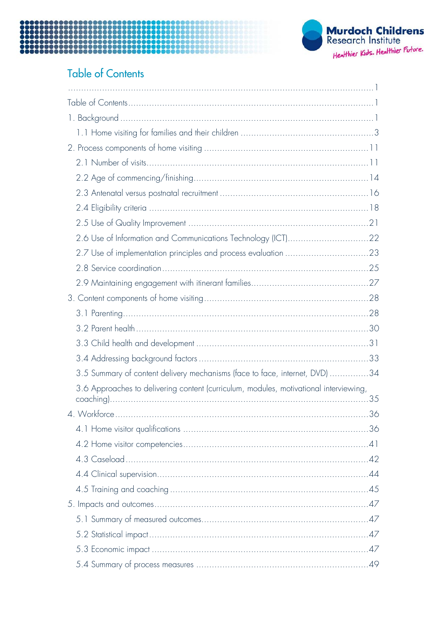



# <span id="page-3-0"></span>**Table of Contents**

| 2.6 Use of Information and Communications Technology (ICT)22                          |  |
|---------------------------------------------------------------------------------------|--|
|                                                                                       |  |
|                                                                                       |  |
|                                                                                       |  |
|                                                                                       |  |
|                                                                                       |  |
|                                                                                       |  |
|                                                                                       |  |
|                                                                                       |  |
| 3.5 Summary of content delivery mechanisms (face to face, internet, DVD) 34           |  |
| 3.6 Approaches to delivering content (curriculum, modules, motivational interviewing, |  |
|                                                                                       |  |
|                                                                                       |  |
|                                                                                       |  |
|                                                                                       |  |
|                                                                                       |  |
|                                                                                       |  |
|                                                                                       |  |
|                                                                                       |  |
|                                                                                       |  |
|                                                                                       |  |
|                                                                                       |  |
|                                                                                       |  |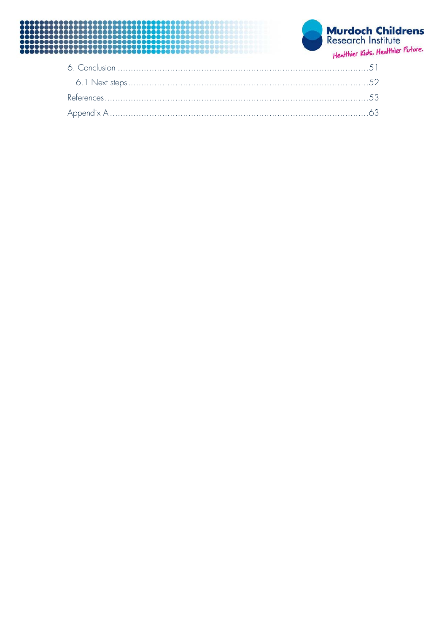

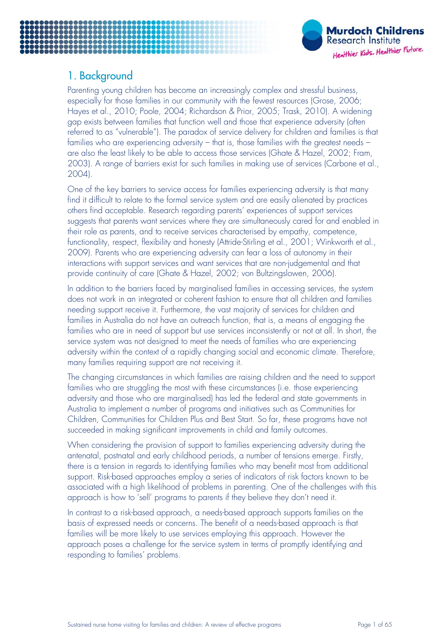



# <span id="page-5-0"></span>1. Background

Parenting young children has become an increasingly complex and stressful business, especially for those families in our community with the fewest resources (Grose, 2006; Hayes et al., 2010; Poole, 2004; Richardson & Prior, 2005; Trask, 2010). A widening gap exists between families that function well and those that experience adversity (often referred to as "vulnerable"). The paradox of service delivery for children and families is that families who are experiencing adversity – that is, those families with the greatest needs – are also the least likely to be able to access those services (Ghate & Hazel, 2002; Fram, 2003). A range of barriers exist for such families in making use of services (Carbone et al., 2004).

One of the key barriers to service access for families experiencing adversity is that many find it difficult to relate to the formal service system and are easily alienated by practices others find acceptable. Research regarding parents' experiences of support services suggests that parents want services where they are simultaneously cared for and enabled in their role as parents, and to receive services characterised by empathy, competence, functionality, respect, flexibility and honesty (Attride-Stirling et al., 2001; Winkworth et al., 2009). Parents who are experiencing adversity can fear a loss of autonomy in their interactions with support services and want services that are non-judgemental and that provide continuity of care (Ghate & Hazel, 2002; von Bultzingslowen, 2006).

In addition to the barriers faced by marginalised families in accessing services, the system does not work in an integrated or coherent fashion to ensure that all children and families needing support receive it. Furthermore, the vast majority of services for children and families in Australia do not have an outreach function, that is, a means of engaging the families who are in need of support but use services inconsistently or not at all. In short, the service system was not designed to meet the needs of families who are experiencing adversity within the context of a rapidly changing social and economic climate. Therefore, many families requiring support are not receiving it.

The changing circumstances in which families are raising children and the need to support families who are struggling the most with these circumstances (i.e. those experiencing adversity and those who are marginalised) has led the federal and state governments in Australia to implement a number of programs and initiatives such as Communities for Children, Communities for Children Plus and Best Start. So far, these programs have not succeeded in making significant improvements in child and family outcomes.

When considering the provision of support to families experiencing adversity during the antenatal, postnatal and early childhood periods, a number of tensions emerge. Firstly, there is a tension in regards to identifying families who may benefit most from additional support. Risk-based approaches employ a series of indicators of risk factors known to be associated with a high likelihood of problems in parenting. One of the challenges with this approach is how to 'sell' programs to parents if they believe they don't need it.

In contrast to a risk-based approach, a needs-based approach supports families on the basis of expressed needs or concerns. The benefit of a needs-based approach is that families will be more likely to use services employing this approach. However the approach poses a challenge for the service system in terms of promptly identifying and responding to families' problems.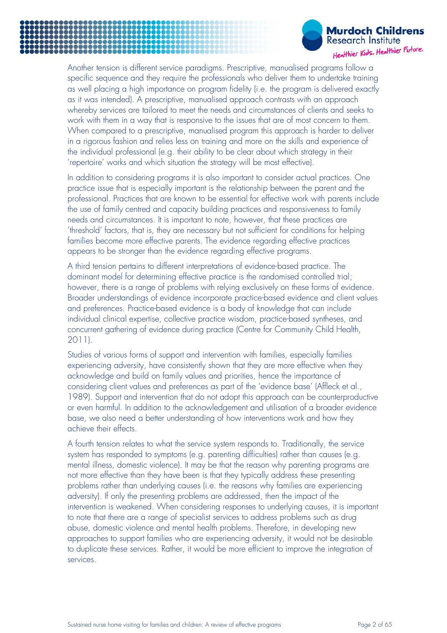



Another tension is different service paradigms. Prescriptive, manualised programs follow a specific sequence and they require the professionals who deliver them to undertake training as well placing a high importance on program fidelity (i.e. the program is delivered exactly as it was intended). A prescriptive, manualised approach contrasts with an approach whereby services are tailored to meet the needs and circumstances of clients and seeks to work with them in a way that is responsive to the issues that are of most concern to them. When compared to a prescriptive, manualised program this approach is harder to deliver in a rigorous fashion and relies less on training and more on the skills and experience of the individual professional (e.g. their ability to be clear about which strategy in their 'repertoire' works and which situation the strategy will be most effective).

In addition to considering programs it is also important to consider actual practices. One practice issue that is especially important is the relationship between the parent and the professional. Practices that are known to be essential for effective work with parents include the use of family centred and capacity building practices and responsiveness to family needs and circumstances. It is important to note, however, that these practices are 'threshold' factors, that is, they are necessary but not sufficient for conditions for helping families become more effective parents. The evidence regarding effective practices appears to be stronger than the evidence regarding effective programs.

A third tension pertains to different interpretations of evidence-based practice. The dominant model for determining effective practice is the randomised controlled trial; however, there is a range of problems with relying exclusively on these forms of evidence. Broader understandings of evidence incorporate practice-based evidence and client values and preferences. Practice-based evidence is a body of knowledge that can include individual clinical expertise, collective practice wisdom, practice-based syntheses, and concurrent gathering of evidence during practice (Centre for Community Child Health, 2011).

Studies of various forms of support and intervention with families, especially families experiencing adversity, have consistently shown that they are more effective when they acknowledge and build on family values and priorities, hence the importance of considering client values and preferences as part of the 'evidence base' (Affleck et al., 1989). Support and intervention that do not adopt this approach can be counterproductive or even harmful. In addition to the acknowledgement and utilisation of a broader evidence base, we also need a better understanding of how interventions work and how they achieve their effects.

A fourth tension relates to what the service system responds to. Traditionally, the service system has responded to symptoms (e.g. parenting difficulties) rather than causes (e.g. mental illness, domestic violence). It may be that the reason why parenting programs are not more effective than they have been is that they typically address these presenting problems rather than underlying causes (i.e. the reasons why families are experiencing adversity). If only the presenting problems are addressed, then the impact of the intervention is weakened. When considering responses to underlying causes, it is important to note that there are a range of specialist services to address problems such as drug abuse, domestic violence and mental health problems. Therefore, in developing new approaches to support families who are experiencing adversity, it would not be desirable to duplicate these services. Rather, it would be more efficient to improve the integration of services.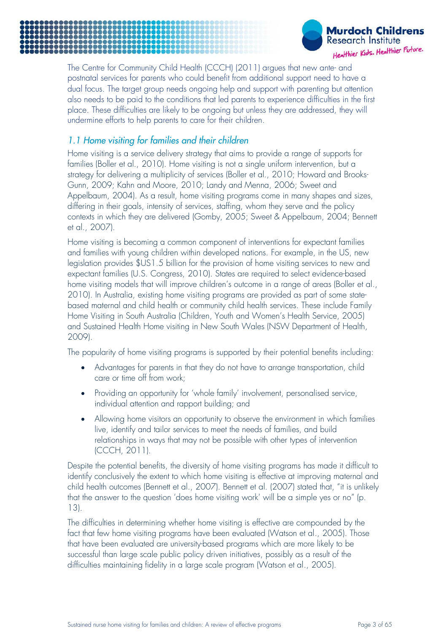



The Centre for Community Child Health (CCCH) (2011) argues that new ante- and postnatal services for parents who could benefit from additional support need to have a dual focus. The target group needs ongoing help and support with parenting but attention also needs to be paid to the conditions that led parents to experience difficulties in the first place. These difficulties are likely to be ongoing but unless they are addressed, they will undermine efforts to help parents to care for their children.

### <span id="page-7-0"></span>*1.1 Home visiting for families and their children*

Home visiting is a service delivery strategy that aims to provide a range of supports for families (Boller et al., 2010). Home visiting is not a single uniform intervention, but a strategy for delivering a multiplicity of services (Boller et al., 2010; Howard and Brooks-Gunn, 2009; Kahn and Moore, 2010; Landy and Menna, 2006; Sweet and Appelbaum, 2004). As a result, home visiting programs come in many shapes and sizes, differing in their goals, intensity of services, staffing, whom they serve and the policy contexts in which they are delivered (Gomby, 2005; Sweet & Appelbaum, 2004; Bennett et al., 2007).

Home visiting is becoming a common component of interventions for expectant families and families with young children within developed nations. For example, in the US, new legislation provides \$US1.5 billion for the provision of home visiting services to new and expectant families (U.S. Congress, 2010). States are required to select evidence-based home visiting models that will improve children's outcome in a range of areas (Boller et al., 2010). In Australia, existing home visiting programs are provided as part of some statebased maternal and child health or community child health services. These include Family Home Visiting in South Australia (Children, Youth and Women's Health Service, 2005) and Sustained Health Home visiting in New South Wales (NSW Department of Health, 2009).

The popularity of home visiting programs is supported by their potential benefits including:

- Advantages for parents in that they do not have to arrange transportation, child care or time off from work;
- Providing an opportunity for 'whole family' involvement, personalised service, individual attention and rapport building; and
- Allowing home visitors an opportunity to observe the environment in which families live, identify and tailor services to meet the needs of families, and build relationships in ways that may not be possible with other types of intervention (CCCH, 2011).

Despite the potential benefits, the diversity of home visiting programs has made it difficult to identify conclusively the extent to which home visiting is effective at improving maternal and child health outcomes (Bennett et al., 2007). Bennett et al. (2007) stated that, "it is unlikely that the answer to the question 'does home visiting work' will be a simple yes or no" (p. 13).

The difficulties in determining whether home visiting is effective are compounded by the fact that few home visiting programs have been evaluated (Watson et al., 2005). Those that have been evaluated are university-based programs which are more likely to be successful than large scale public policy driven initiatives, possibly as a result of the difficulties maintaining fidelity in a large scale program (Watson et al., 2005).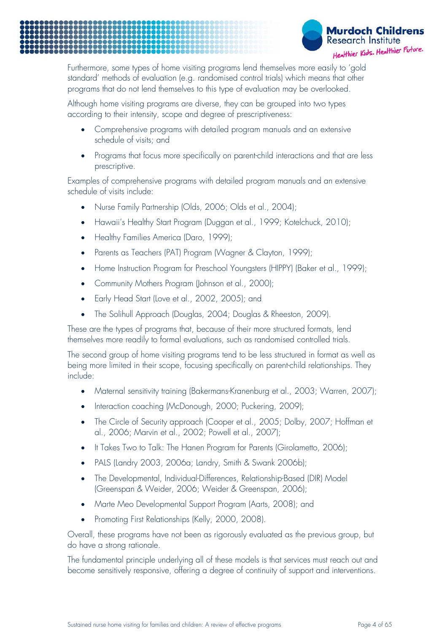



Furthermore, some types of home visiting programs lend themselves more easily to 'gold standard' methods of evaluation (e.g. randomised control trials) which means that other programs that do not lend themselves to this type of evaluation may be overlooked.

Although home visiting programs are diverse, they can be grouped into two types according to their intensity, scope and degree of prescriptiveness:

- Comprehensive programs with detailed program manuals and an extensive schedule of visits; and
- Programs that focus more specifically on parent-child interactions and that are less prescriptive.

Examples of comprehensive programs with detailed program manuals and an extensive schedule of visits include:

- Nurse Family Partnership (Olds, 2006; Olds et al., 2004);
- Hawaii's Healthy Start Program (Duggan et al., 1999; Kotelchuck, 2010);
- Healthy Families America (Daro, 1999);
- Parents as Teachers (PAT) Program (Wagner & Clayton, 1999);
- Home Instruction Program for Preschool Youngsters (HIPPY) (Baker et al., 1999);
- Community Mothers Program (Johnson et al., 2000);
- Early Head Start (Love et al., 2002, 2005); and
- The Solihull Approach (Douglas, 2004; Douglas & Rheeston, 2009).

These are the types of programs that, because of their more structured formats, lend themselves more readily to formal evaluations, such as randomised controlled trials.

The second group of home visiting programs tend to be less structured in format as well as being more limited in their scope, focusing specifically on parent-child relationships. They include:

- Maternal sensitivity training (Bakermans-Kranenburg et al., 2003; Warren, 2007);
- Interaction coaching (McDonough, 2000; Puckering, 2009);
- The Circle of Security approach (Cooper et al., 2005; Dolby, 2007; Hoffman et al., 2006; Marvin et al., 2002; Powell et al., 2007);
- It Takes Two to Talk: The Hanen Program for Parents (Girolametto, 2006);
- PALS (Landry 2003, 2006a; Landry, Smith & Swank 2006b);
- The Developmental, Individual-Differences, Relationship-Based (DIR) Model (Greenspan & Weider, 2006; Weider & Greenspan, 2006);
- Marte Meo Developmental Support Program (Aarts, 2008); and
- Promoting First Relationships (Kelly, 2000, 2008).

Overall, these programs have not been as rigorously evaluated as the previous group, but do have a strong rationale.

The fundamental principle underlying all of these models is that services must reach out and become sensitively responsive, offering a degree of continuity of support and interventions.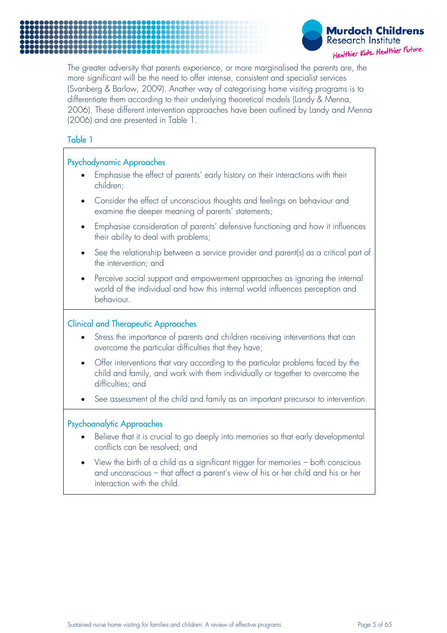



The greater adversity that parents experience, or more marginalised the parents are, the more significant will be the need to offer intense, consistent and specialist services (Svanberg & Barlow, 2009). Another way of categorising home visiting programs is to differentiate them according to their underlying theoretical models (Landy & Menna, 2006). These different intervention approaches have been outlined by Landy and Menna (2006) and are presented in Table 1.

#### Table 1

#### Psychodynamic Approaches

- Emphasise the effect of parents' early history on their interactions with their children;
- Consider the effect of unconscious thoughts and feelings on behaviour and examine the deeper meaning of parents' statements;
- Emphasise consideration of parents' defensive functioning and how it influences their ability to deal with problems;
- See the relationship between a service provider and parent(s) as a critical part of the intervention; and
- Perceive social support and empowerment approaches as ignoring the internal world of the individual and how this internal world influences perception and behaviour.

#### Clinical and Therapeutic Approaches

- Stress the importance of parents and children receiving interventions that can overcome the particular difficulties that they have;
- Offer interventions that vary according to the particular problems faced by the child and family, and work with them individually or together to overcome the difficulties; and
- See assessment of the child and family as an important precursor to intervention.

#### Psychoanalytic Approaches

- Believe that it is crucial to go deeply into memories so that early developmental conflicts can be resolved; and
- View the birth of a child as a significant trigger for memories both conscious and unconscious – that affect a parent's view of his or her child and his or her interaction with the child.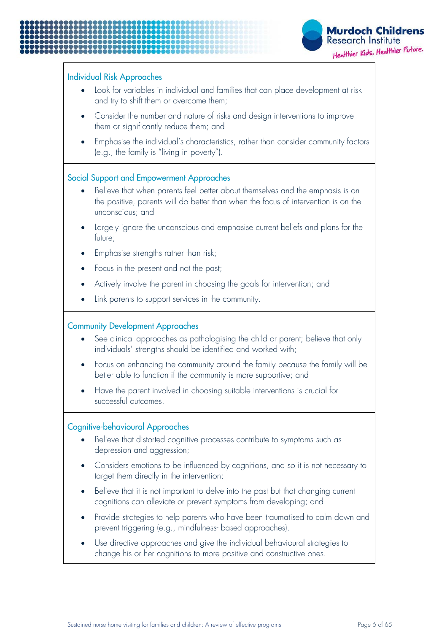

#### Individual Risk Approaches

- Look for variables in individual and families that can place development at risk and try to shift them or overcome them;
- Consider the number and nature of risks and design interventions to improve them or significantly reduce them; and
- Emphasise the individual's characteristics, rather than consider community factors (e.g., the family is "living in poverty").

#### Social Support and Empowerment Approaches

- Believe that when parents feel better about themselves and the emphasis is on the positive, parents will do better than when the focus of intervention is on the unconscious; and
- Largely ignore the unconscious and emphasise current beliefs and plans for the future;
- Emphasise strengths rather than risk;
- Focus in the present and not the past;
- Actively involve the parent in choosing the goals for intervention; and
- Link parents to support services in the community.

#### Community Development Approaches

- See clinical approaches as pathologising the child or parent; believe that only individuals' strengths should be identified and worked with;
- Focus on enhancing the community around the family because the family will be better able to function if the community is more supportive; and
- Have the parent involved in choosing suitable interventions is crucial for successful outcomes.

#### Cognitive-behavioural Approaches

- Believe that distorted cognitive processes contribute to symptoms such as depression and aggression;
- Considers emotions to be influenced by cognitions, and so it is not necessary to target them directly in the intervention;
- Believe that it is not important to delve into the past but that changing current cognitions can alleviate or prevent symptoms from developing; and
- Provide strategies to help parents who have been traumatised to calm down and prevent triggering (e.g., mindfulness- based approaches).
- Use directive approaches and give the individual behavioural strategies to change his or her cognitions to more positive and constructive ones.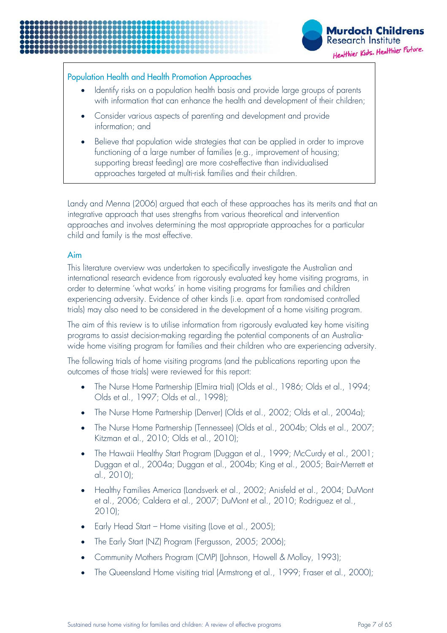

#### Population Health and Health Promotion Approaches

- Identify risks on a population health basis and provide large groups of parents with information that can enhance the health and development of their children;
- Consider various aspects of parenting and development and provide information; and
- Believe that population wide strategies that can be applied in order to improve functioning of a large number of families (e.g., improvement of housing; supporting breast feeding) are more cost-effective than individualised approaches targeted at multi-risk families and their children.

Landy and Menna (2006) argued that each of these approaches has its merits and that an integrative approach that uses strengths from various theoretical and intervention approaches and involves determining the most appropriate approaches for a particular child and family is the most effective.

#### Aim

This literature overview was undertaken to specifically investigate the Australian and international research evidence from rigorously evaluated key home visiting programs, in order to determine 'what works' in home visiting programs for families and children experiencing adversity. Evidence of other kinds (i.e. apart from randomised controlled trials) may also need to be considered in the development of a home visiting program.

The aim of this review is to utilise information from rigorously evaluated key home visiting programs to assist decision-making regarding the potential components of an Australiawide home visiting program for families and their children who are experiencing adversity.

The following trials of home visiting programs (and the publications reporting upon the outcomes of those trials) were reviewed for this report:

- The Nurse Home Partnership (Elmira trial) (Olds et al., 1986; Olds et al., 1994; Olds et al., 1997; Olds et al., 1998);
- The Nurse Home Partnership (Denver) (Olds et al., 2002; Olds et al., 2004a);
- The Nurse Home Partnership (Tennessee) (Olds et al., 2004b; Olds et al., 2007; Kitzman et al., 2010; Olds et al., 2010);
- The Hawaii Healthy Start Program (Duggan et al., 1999; McCurdy et al., 2001; Duggan et al., 2004a; Duggan et al., 2004b; King et al., 2005; Bair-Merrett et al., 2010);
- Healthy Families America (Landsverk et al., 2002; Anisfeld et al., 2004; DuMont et al., 2006; Caldera et al., 2007; DuMont et al., 2010; Rodriguez et al., 2010);
- Early Head Start Home visiting (Love et al., 2005);
- The Early Start (NZ) Program (Fergusson, 2005; 2006);
- Community Mothers Program (CMP) (Johnson, Howell & Molloy, 1993);
- The Queensland Home visiting trial (Armstrong et al., 1999; Fraser et al., 2000);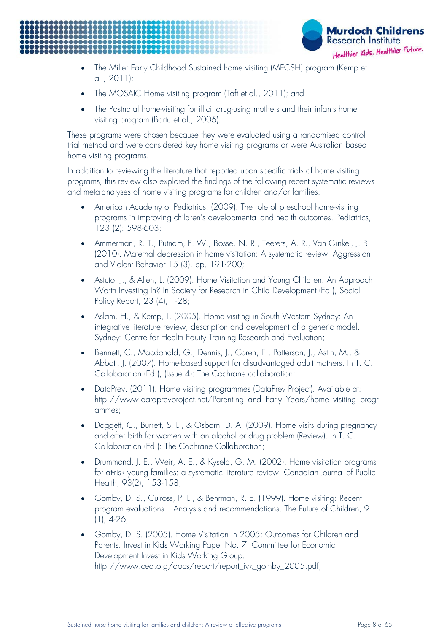



- The Miller Early Childhood Sustained home visiting (MECSH) program (Kemp et al., 2011);
- The MOSAIC Home visiting program (Taft et al., 2011); and
- The Postnatal home-visiting for illicit drug-using mothers and their infants home visiting program (Bartu et al., 2006).

These programs were chosen because they were evaluated using a randomised control trial method and were considered key home visiting programs or were Australian based home visiting programs.

In addition to reviewing the literature that reported upon specific trials of home visiting programs, this review also explored the findings of the following recent systematic reviews and meta-analyses of home visiting programs for children and/or families:

- American Academy of Pediatrics. (2009). The role of preschool home-visiting programs in improving children's developmental and health outcomes. Pediatrics, 123 (2): 598-603;
- Ammerman, R. T., Putnam, F. W., Bosse, N. R., Teeters, A. R., Van Ginkel, J. B. (2010). Maternal depression in home visitation: A systematic review. Aggression and Violent Behavior 15 (3), pp. 191-200;
- Astuto, J., & Allen, L. (2009). Home Visitation and Young Children: An Approach Worth Investing In? In Society for Research in Child Development (Ed.), Social Policy Report, 23 (4), 1-28;
- Aslam, H., & Kemp, L. (2005). Home visiting in South Western Sydney: An integrative literature review, description and development of a generic model. Sydney: Centre for Health Equity Training Research and Evaluation;
- Bennett, C., Macdonald, G., Dennis, J., Coren, E., Patterson, J., Astin, M., & Abbott, J. (2007). Home-based support for disadvantaged adult mothers. In T. C. Collaboration (Ed.), (Issue 4): The Cochrane collaboration;
- DataPrev. (2011). Home visiting programmes (DataPrev Project). Available at: http://www.dataprevproject.net/Parenting\_and\_Early\_Years/home\_visiting\_progr ammes;
- Doggett, C., Burrett, S. L., & Osborn, D. A. (2009). Home visits during pregnancy and after birth for women with an alcohol or drug problem (Review). In T. C. Collaboration (Ed.): The Cochrane Collaboration;
- Drummond, J. E., Weir, A. E., & Kysela, G. M. (2002). Home visitation programs for at-risk young families: a systematic literature review. Canadian Journal of Public Health, 93(2), 153-158;
- Gomby, D. S., Culross, P. L., & Behrman, R. E. (1999). Home visiting: Recent program evaluations – Analysis and recommendations. The Future of Children, 9 (1), 4-26;
- Gomby, D. S. (2005). Home Visitation in 2005: Outcomes for Children and Parents. Invest in Kids Working Paper No. 7. Committee for Economic Development Invest in Kids Working Group. http://www.ced.org/docs/report/report\_ivk\_gomby\_2005.pdf;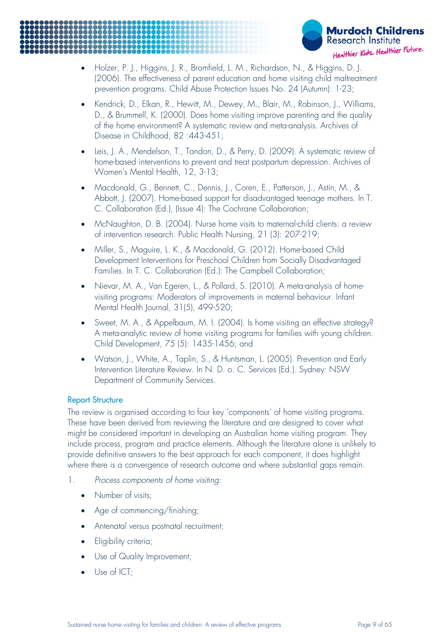



- Holzer, P. J., Higgins, J. R., Bromfield, L. M., Richardson, N., & Higgins, D. J. (2006). The effectiveness of parent education and home visiting child maltreatment prevention programs. Child Abuse Protection Issues No. 24 (Autumn): 1-23;
- Kendrick, D., Elkan, R., Hewitt, M., Dewey, M., Blair, M., Robinson, J., Williams, D., & Brummell, K. (2000). Does home visiting improve parenting and the quality of the home environment? A systematic review and meta-analysis. Archives of Disease in Childhood, 82:443-451;
- Leis, J. A., Mendelson, T., Tandon, D., & Perry, D. (2009). A systematic review of home-based interventions to prevent and treat postpartum depression. Archives of Women's Mental Health, 12, 3-13;
- Macdonald, G., Bennett, C., Dennis, J., Coren, E., Patterson, J., Astin, M., & Abbott, J. (2007). Home-based support for disadvantaged teenage mothers. In T. C. Collaboration (Ed.), (Issue 4): The Cochrane Collaboration;
- McNaughton, D. B. (2004). Nurse home visits to maternal-child clients: a review of intervention research. Public Health Nursing, 21 (3): 207-219;
- Miller, S., Maguire, L. K., & Macdonald, G. (2012). Home-based Child Development Interventions for Preschool Children from Socially Disadvantaged Families. In T. C. Collaboration (Ed.): The Campbell Collaboration;
- Nievar, M. A., Van Egeren, L., & Pollard, S. (2010). A meta-analysis of homevisiting programs: Moderators of improvements in maternal behaviour. Infant Mental Health Journal, 31(5), 499-520;
- Sweet, M. A., & Appelbaum, M. I. (2004). Is home visiting an effective strategy? A meta-analytic review of home visiting programs for families with young children. Child Development, 75 (5): 1435-1456; and
- Watson, J., White, A., Taplin, S., & Huntsman, L. (2005). Prevention and Early Intervention Literature Review. In N. D. o. C. Services (Ed.). Sydney: NSW Department of Community Services.

#### Report Structure

The review is organised according to four key 'components' of home visiting programs. These have been derived from reviewing the literature and are designed to cover what might be considered important in developing an Australian home visiting program. They include process, program and practice elements. Although the literature alone is unlikely to provide definitive answers to the best approach for each component, it does highlight where there is a convergence of research outcome and where substantial gaps remain.

- 1. *Process components of home visiting:* 
	- Number of visits;
	- Age of commencing/finishing;
	- Antenatal versus postnatal recruitment;
	- Eligibility criteria;
	- Use of Quality Improvement;
	- Use of ICT;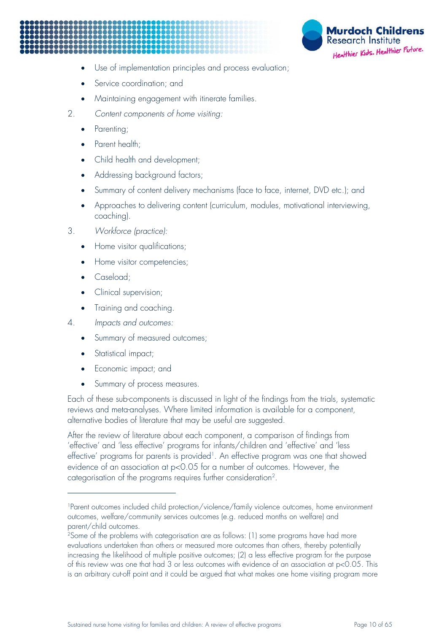



- Use of implementation principles and process evaluation;
- Service coordination; and
- Maintaining engagement with itinerate families.
- 2. *Content components of home visiting:*
	- Parenting;
	- Parent health;
	- Child health and development;
	- Addressing background factors;
	- Summary of content delivery mechanisms (face to face, internet, DVD etc.); and
	- Approaches to delivering content (curriculum, modules, motivational interviewing, coaching).
- 3. *Workforce (practice):*
	- Home visitor qualifications;
	- Home visitor competencies;
	- Caseload;
	- Clinical supervision;
	- Training and coaching.
- 4. *Impacts and outcomes:*
	- Summary of measured outcomes;
	- Statistical impact;

 $\overline{a}$ 

- Economic impact; and
- Summary of process measures.

Each of these sub-components is discussed in light of the findings from the trials, systematic reviews and meta-analyses. Where limited information is available for a component, alternative bodies of literature that may be useful are suggested.

After the review of literature about each component, a comparison of findings from 'effective' and 'less effective' programs for infants/children and 'effective' and 'less effective' programs for parents is provided<sup>1</sup>. An effective program was one that showed evidence of an association at p<0.05 for a number of outcomes. However, the categorisation of the programs requires further consideration<sup>2</sup>.

<sup>&</sup>lt;sup>1</sup>Parent outcomes included child protection/violence/family violence outcomes, home environment outcomes, welfare/community services outcomes (e.g. reduced months on welfare) and parent/child outcomes.

<sup>2</sup>Some of the problems with categorisation are as follows: (1) some programs have had more evaluations undertaken than others or measured more outcomes than others, thereby potentially increasing the likelihood of multiple positive outcomes; (2) a less effective program for the purpose of this review was one that had 3 or less outcomes with evidence of an association at p<0.05. This is an arbitrary cut-off point and it could be argued that what makes one home visiting program more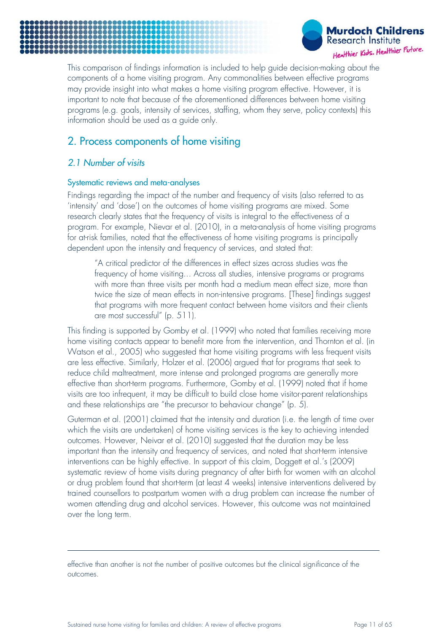



This comparison of findings information is included to help guide decision-making about the components of a home visiting program. Any commonalities between effective programs may provide insight into what makes a home visiting program effective. However, it is important to note that because of the aforementioned differences between home visiting programs (e.g. goals, intensity of services, staffing, whom they serve, policy contexts) this information should be used as a guide only.

# <span id="page-15-0"></span>2. Process components of home visiting

# <span id="page-15-1"></span>*2.1 Number of visits*

 $\overline{a}$ 

#### Systematic reviews and meta-analyses

Findings regarding the impact of the number and frequency of visits (also referred to as 'intensity' and 'dose') on the outcomes of home visiting programs are mixed. Some research clearly states that the frequency of visits is integral to the effectiveness of a program. For example, Nievar et al. (2010), in a meta-analysis of home visiting programs for at-risk families, noted that the effectiveness of home visiting programs is principally dependent upon the intensity and frequency of services, and stated that:

"A critical predictor of the differences in effect sizes across studies was the frequency of home visiting... Across all studies, intensive programs or programs with more than three visits per month had a medium mean effect size, more than twice the size of mean effects in non-intensive programs. [These] findings suggest that programs with more frequent contact between home visitors and their clients are most successful" (p. 511).

This finding is supported by Gomby et al. (1999) who noted that families receiving more home visiting contacts appear to benefit more from the intervention, and Thornton et al. (in Watson et al., 2005) who suggested that home visiting programs with less frequent visits are less effective. Similarly, Holzer et al. (2006) argued that for programs that seek to reduce child maltreatment, more intense and prolonged programs are generally more effective than short-term programs. Furthermore, Gomby et al. (1999) noted that if home visits are too infrequent, it may be difficult to build close home visitor-parent relationships and these relationships are "the precursor to behaviour change" (p. 5).

Guterman et al. (2001) claimed that the intensity and duration (i.e. the length of time over which the visits are undertaken) of home visiting services is the key to achieving intended outcomes. However, Neivar et al. (2010) suggested that the duration may be less important than the intensity and frequency of services, and noted that short-term intensive interventions can be highly effective. In support of this claim, Doggett et al.'s (2009) systematic review of home visits during pregnancy of after birth for women with an alcohol or drug problem found that short-term (at least 4 weeks) intensive interventions delivered by trained counsellors to postpartum women with a drug problem can increase the number of women attending drug and alcohol services. However, this outcome was not maintained over the long term.

effective than another is not the number of positive outcomes but the clinical significance of the outcomes.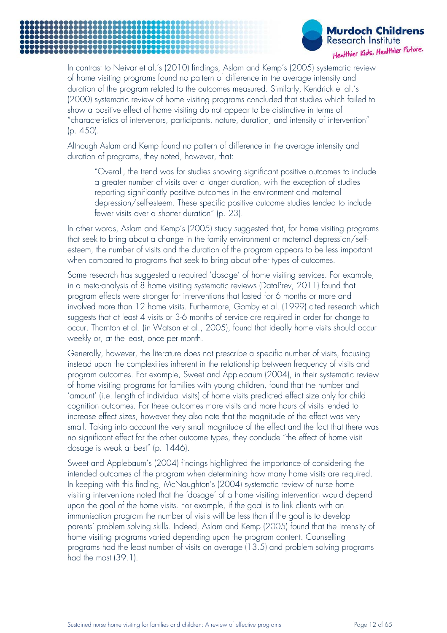



In contrast to Neivar et al.'s (2010) findings, Aslam and Kemp's (2005) systematic review of home visiting programs found no pattern of difference in the average intensity and duration of the program related to the outcomes measured. Similarly, Kendrick et al.'s (2000) systematic review of home visiting programs concluded that studies which failed to show a positive effect of home visiting do not appear to be distinctive in terms of "characteristics of intervenors, participants, nature, duration, and intensity of intervention" (p. 450).

Although Aslam and Kemp found no pattern of difference in the average intensity and duration of programs, they noted, however, that:

"Overall, the trend was for studies showing significant positive outcomes to include a greater number of visits over a longer duration, with the exception of studies reporting significantly positive outcomes in the environment and maternal depression/self-esteem. These specific positive outcome studies tended to include fewer visits over a shorter duration" (p. 23).

In other words, Aslam and Kemp's (2005) study suggested that, for home visiting programs that seek to bring about a change in the family environment or maternal depression/selfesteem, the number of visits and the duration of the program appears to be less important when compared to programs that seek to bring about other types of outcomes.

Some research has suggested a required 'dosage' of home visiting services. For example, in a meta-analysis of 8 home visiting systematic reviews (DataPrev, 2011) found that program effects were stronger for interventions that lasted for 6 months or more and involved more than 12 home visits. Furthermore, Gomby et al. (1999) cited research which suggests that at least 4 visits or 3-6 months of service are required in order for change to occur. Thornton et al. (in Watson et al., 2005), found that ideally home visits should occur weekly or, at the least, once per month.

Generally, however, the literature does not prescribe a specific number of visits, focusing instead upon the complexities inherent in the relationship between frequency of visits and program outcomes. For example, Sweet and Applebaum (2004), in their systematic review of home visiting programs for families with young children, found that the number and 'amount' (i.e. length of individual visits) of home visits predicted effect size only for child cognition outcomes. For these outcomes more visits and more hours of visits tended to increase effect sizes, however they also note that the magnitude of the effect was very small. Taking into account the very small magnitude of the effect and the fact that there was no significant effect for the other outcome types, they conclude "the effect of home visit dosage is weak at best" (p. 1446).

Sweet and Applebaum's (2004) findings highlighted the importance of considering the intended outcomes of the program when determining how many home visits are required. In keeping with this finding, McNaughton's (2004) systematic review of nurse home visiting interventions noted that the 'dosage' of a home visiting intervention would depend upon the goal of the home visits. For example, if the goal is to link clients with an immunisation program the number of visits will be less than if the goal is to develop parents' problem solving skills. Indeed, Aslam and Kemp (2005) found that the intensity of home visiting programs varied depending upon the program content. Counselling programs had the least number of visits on average (13.5) and problem solving programs had the most (39.1).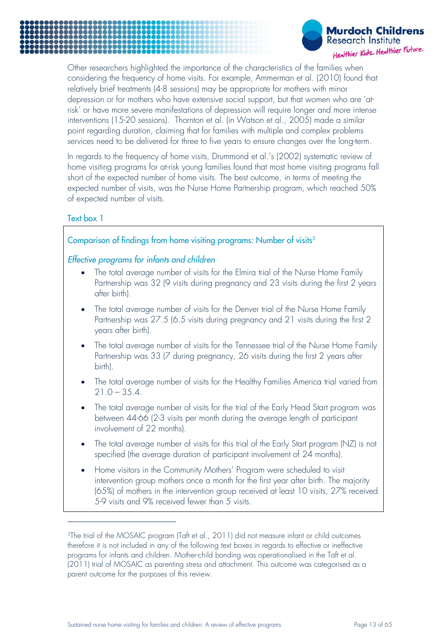



Other researchers highlighted the importance of the characteristics of the families when considering the frequency of home visits. For example, Ammerman et al. (2010) found that relatively brief treatments (4-8 sessions) may be appropriate for mothers with minor depression or for mothers who have extensive social support, but that women who are 'atrisk' or have more severe manifestations of depression will require longer and more intense interventions (15-20 sessions). Thornton et al. (in Watson et al., 2005) made a similar point regarding duration, claiming that for families with multiple and complex problems services need to be delivered for three to five years to ensure changes over the long-term.

In regards to the frequency of home visits, Drummond et al.'s (2002) systematic review of home visiting programs for at-risk young families found that most home visiting programs fall short of the expected number of home visits. The best outcome, in terms of meeting the expected number of visits, was the Nurse Home Partnership program, which reached 50% of expected number of visits.

#### Text box 1

 $\overline{a}$ 

#### Comparison of findings from home visiting programs: Number of visits<sup>3</sup>

#### *Effective programs for infants and children*

- The total average number of visits for the Elmira trial of the Nurse Home Family Partnership was 32 (9 visits during pregnancy and 23 visits during the first 2 years after birth).
- The total average number of visits for the Denver trial of the Nurse Home Family Partnership was 27.5 (6.5 visits during pregnancy and 21 visits during the first 2 years after birth).
- The total average number of visits for the Tennessee trial of the Nurse Home Family Partnership was 33 (7 during pregnancy, 26 visits during the first 2 years after birth).
- The total average number of visits for the Healthy Families America trial varied from  $21.0 - 35.4.$
- The total average number of visits for the trial of the Early Head Start program was between 44-66 (2-3 visits per month during the average length of participant involvement of 22 months).
- The total average number of visits for this trial of the Early Start program (NZ) is not specified (the average duration of participant involvement of 24 months).
- Home visitors in the Community Mothers' Program were scheduled to visit intervention group mothers once a month for the first year after birth. The majority (65%) of mothers in the intervention group received at least 10 visits, 27% received 5-9 visits and 9% received fewer than 5 visits.

<sup>3</sup> The trial of the MOSAIC program (Taft et al., 2011) did not measure infant or child outcomes therefore it is not included in any of the following text boxes in regards to effective or ineffective programs for infants and children. Mother-child bonding was operationalised in the Taft et al. (2011) trial of MOSAIC as parenting stress and attachment. This outcome was categorised as a parent outcome for the purposes of this review.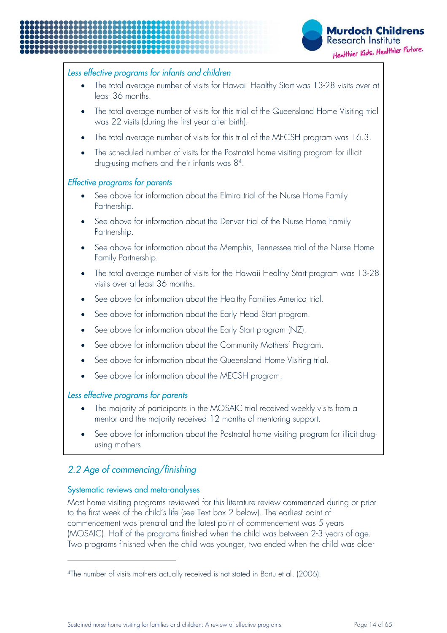

#### *Less effective programs for infants and children*

- The total average number of visits for Hawaii Healthy Start was 13-28 visits over at least 36 months.
- The total average number of visits for this trial of the Queensland Home Visiting trial was 22 visits (during the first year after birth).
- The total average number of visits for this trial of the MECSH program was 16.3.
- The scheduled number of visits for the Postnatal home visiting program for illicit drug-using mothers and their infants was 8<sup>4</sup> .

#### *Effective programs for parents*

- See above for information about the Elmira trial of the Nurse Home Family Partnership.
- See above for information about the Denver trial of the Nurse Home Family Partnership.
- See above for information about the Memphis, Tennessee trial of the Nurse Home Family Partnership.
- The total average number of visits for the Hawaii Healthy Start program was 13-28 visits over at least 36 months.
- See above for information about the Healthy Families America trial.
- See above for information about the Early Head Start program.
- See above for information about the Early Start program (NZ).
- See above for information about the Community Mothers' Program.
- See above for information about the Queensland Home Visiting trial.
- See above for information about the MECSH program.

#### *Less effective programs for parents*

- The majority of participants in the MOSAIC trial received weekly visits from a mentor and the majority received 12 months of mentoring support.
- See above for information about the Postnatal home visiting program for illicit drugusing mothers.

# <span id="page-18-0"></span>*2.2 Age of commencing/finishing*

#### Systematic reviews and meta-analyses

 $\overline{a}$ 

Most home visiting programs reviewed for this literature review commenced during or prior to the first week of the child's life (see Text box 2 below). The earliest point of commencement was prenatal and the latest point of commencement was 5 years (MOSAIC). Half of the programs finished when the child was between 2-3 years of age. Two programs finished when the child was younger, two ended when the child was older

<sup>4</sup> The number of visits mothers actually received is not stated in Bartu et al. (2006).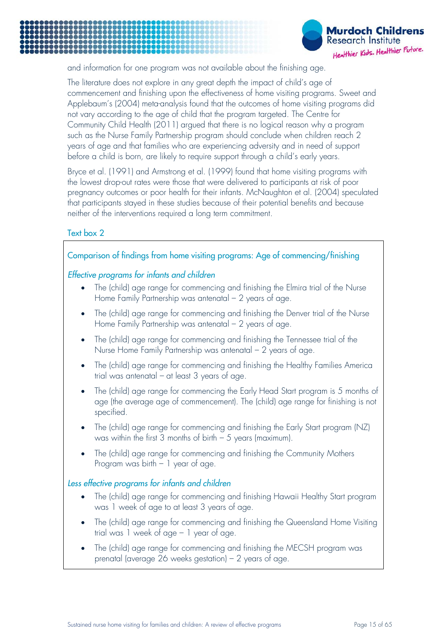



and information for one program was not available about the finishing age.

The literature does not explore in any great depth the impact of child's age of commencement and finishing upon the effectiveness of home visiting programs. Sweet and Applebaum's (2004) meta-analysis found that the outcomes of home visiting programs did not vary according to the age of child that the program targeted. The Centre for Community Child Health (2011) argued that there is no logical reason why a program such as the Nurse Family Partnership program should conclude when children reach 2 years of age and that families who are experiencing adversity and in need of support before a child is born, are likely to require support through a child's early years.

Bryce et al. (1991) and Armstrong et al. (1999) found that home visiting programs with the lowest drop-out rates were those that were delivered to participants at risk of poor pregnancy outcomes or poor health for their infants. McNaughton et al. (2004) speculated that participants stayed in these studies because of their potential benefits and because neither of the interventions required a long term commitment.

### Text box 2

#### Comparison of findings from home visiting programs: Age of commencing/finishing

#### *Effective programs for infants and children*

- The (child) age range for commencing and finishing the Elmira trial of the Nurse Home Family Partnership was antenatal  $-2$  years of age.
- The (child) age range for commencing and finishing the Denver trial of the Nurse Home Family Partnership was antenatal – 2 years of age.
- The (child) age range for commencing and finishing the Tennessee trial of the Nurse Home Family Partnership was antenatal – 2 years of age.
- The (child) age range for commencing and finishing the Healthy Families America trial was antenatal – at least 3 years of age.
- The (child) age range for commencing the Early Head Start program is 5 months of age (the average age of commencement). The (child) age range for finishing is not specified.
- The (child) age range for commencing and finishing the Early Start program (NZ) was within the first 3 months of birth  $-5$  years (maximum).
- The (child) age range for commencing and finishing the Community Mothers Program was birth – 1 year of age.

#### *Less effective programs for infants and children*

- The (child) age range for commencing and finishing Hawaii Healthy Start program was 1 week of age to at least 3 years of age.
- The (child) age range for commencing and finishing the Queensland Home Visiting trial was 1 week of age – 1 year of age.
- The (child) age range for commencing and finishing the MECSH program was prenatal (average 26 weeks gestation) – 2 years of age.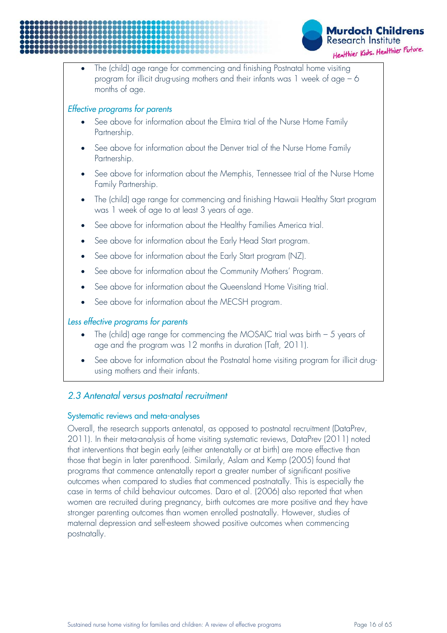

 The (child) age range for commencing and finishing Postnatal home visiting program for illicit drug-using mothers and their infants was 1 week of age – 6 months of age.

#### *Effective programs for parents*

- See above for information about the Elmira trial of the Nurse Home Family Partnership.
- See above for information about the Denver trial of the Nurse Home Family Partnership.
- See above for information about the Memphis, Tennessee trial of the Nurse Home Family Partnership.
- The (child) age range for commencing and finishing Hawaii Healthy Start program was 1 week of age to at least 3 years of age.
- See above for information about the Healthy Families America trial.
- See above for information about the Early Head Start program.
- See above for information about the Early Start program (NZ).
- See above for information about the Community Mothers' Program.
- See above for information about the Queensland Home Visiting trial.
- See above for information about the MECSH program.

#### *Less effective programs for parents*

- The (child) age range for commencing the MOSAIC trial was birth 5 years of age and the program was 12 months in duration (Taft, 2011).
- See above for information about the Postnatal home visiting program for illicit drugusing mothers and their infants.

#### <span id="page-20-0"></span>*2.3 Antenatal versus postnatal recruitment*

#### Systematic reviews and meta-analyses

Overall, the research supports antenatal, as opposed to postnatal recruitment (DataPrev, 2011). In their meta-analysis of home visiting systematic reviews, DataPrev (2011) noted that interventions that begin early (either antenatally or at birth) are more effective than those that begin in later parenthood. Similarly, Aslam and Kemp (2005) found that programs that commence antenatally report a greater number of significant positive outcomes when compared to studies that commenced postnatally. This is especially the case in terms of child behaviour outcomes. Daro et al. (2006) also reported that when women are recruited during pregnancy, birth outcomes are more positive and they have stronger parenting outcomes than women enrolled postnatally. However, studies of maternal depression and self-esteem showed positive outcomes when commencing postnatally.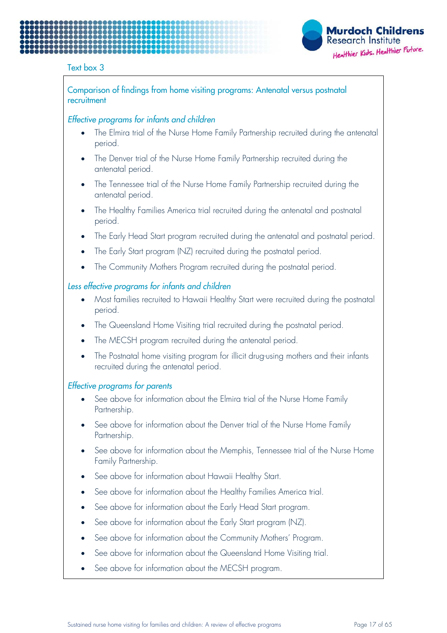



#### Text box 3



#### *Effective programs for infants and children*

- The Elmira trial of the Nurse Home Family Partnership recruited during the antenatal period.
- The Denver trial of the Nurse Home Family Partnership recruited during the antenatal period.
- The Tennessee trial of the Nurse Home Family Partnership recruited during the antenatal period.
- The Healthy Families America trial recruited during the antenatal and postnatal period.
- The Early Head Start program recruited during the antenatal and postnatal period.
- The Early Start program (NZ) recruited during the postnatal period.
- The Community Mothers Program recruited during the postnatal period.

#### *Less effective programs for infants and children*

- Most families recruited to Hawaii Healthy Start were recruited during the postnatal period.
- The Queensland Home Visiting trial recruited during the postnatal period.
- The MECSH program recruited during the antenatal period.
- The Postnatal home visiting program for illicit drug-using mothers and their infants recruited during the antenatal period.

#### *Effective programs for parents*

- See above for information about the Elmira trial of the Nurse Home Family Partnership.
- See above for information about the Denver trial of the Nurse Home Family Partnership.
- See above for information about the Memphis, Tennessee trial of the Nurse Home Family Partnership.
- See above for information about Hawaii Healthy Start.
- See above for information about the Healthy Families America trial.
- See above for information about the Early Head Start program.
- See above for information about the Early Start program (NZ).
- See above for information about the Community Mothers' Program.
- See above for information about the Queensland Home Visiting trial.
- See above for information about the MECSH program.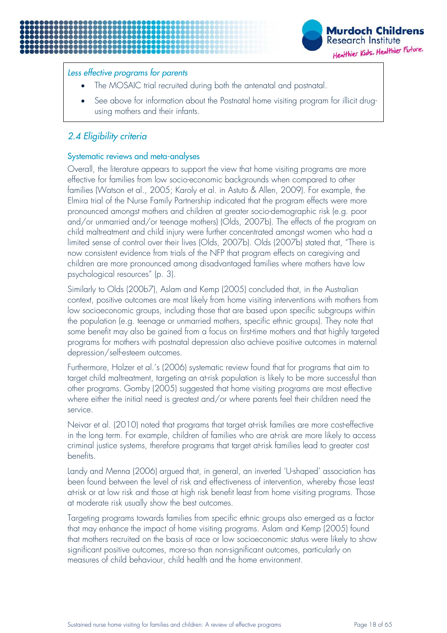

#### *Less effective programs for parents*

- The MOSAIC trial recruited during both the antenatal and postnatal.
- See above for information about the Postnatal home visiting program for illicit drugusing mothers and their infants.

# <span id="page-22-0"></span>*2.4 Eligibility criteria*

#### Systematic reviews and meta-analyses

Overall, the literature appears to support the view that home visiting programs are more effective for families from low socio-economic backgrounds when compared to other families (Watson et al., 2005; Karoly et al. in Astuto & Allen, 2009). For example, the Elmira trial of the Nurse Family Partnership indicated that the program effects were more pronounced amongst mothers and children at greater socio-demographic risk (e.g. poor and/or unmarried and/or teenage mothers) (Olds, 2007b). The effects of the program on child maltreatment and child injury were further concentrated amongst women who had a limited sense of control over their lives (Olds, 2007b). Olds (2007b) stated that, "There is now consistent evidence from trials of the NFP that program effects on caregiving and children are more pronounced among disadvantaged families where mothers have low psychological resources" (p. 3).

Similarly to Olds (200b7), Aslam and Kemp (2005) concluded that, in the Australian context, positive outcomes are most likely from home visiting interventions with mothers from low socioeconomic groups, including those that are based upon specific subgroups within the population (e.g. teenage or unmarried mothers, specific ethnic groups). They note that some benefit may also be gained from a focus on first-time mothers and that highly targeted programs for mothers with postnatal depression also achieve positive outcomes in maternal depression/self-esteem outcomes.

Furthermore, Holzer et al.'s (2006) systematic review found that for programs that aim to target child maltreatment, targeting an at-risk population is likely to be more successful than other programs. Gomby (2005) suggested that home visiting programs are most effective where either the initial need is greatest and/or where parents feel their children need the service.

Neivar et al. (2010) noted that programs that target at-risk families are more cost-effective in the long term. For example, children of families who are at-risk are more likely to access criminal justice systems, therefore programs that target at-risk families lead to greater cost benefits.

Landy and Menna (2006) argued that, in general, an inverted 'U-shaped' association has been found between the level of risk and effectiveness of intervention, whereby those least at-risk or at low risk and those at high risk benefit least from home visiting programs. Those at moderate risk usually show the best outcomes.

Targeting programs towards families from specific ethnic groups also emerged as a factor that may enhance the impact of home visiting programs. Aslam and Kemp (2005) found that mothers recruited on the basis of race or low socioeconomic status were likely to show significant positive outcomes, more-so than non-significant outcomes, particularly on measures of child behaviour, child health and the home environment.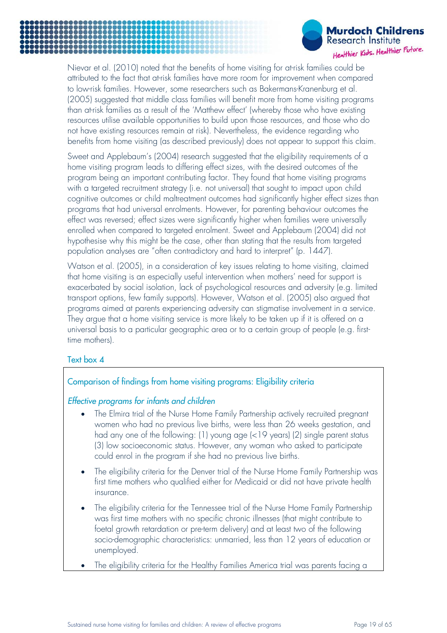



Nievar et al. (2010) noted that the benefits of home visiting for at-risk families could be attributed to the fact that at-risk families have more room for improvement when compared to low-risk families. However, some researchers such as Bakermans-Kranenburg et al. (2005) suggested that middle class families will benefit more from home visiting programs than at-risk families as a result of the 'Matthew effect' (whereby those who have existing resources utilise available opportunities to build upon those resources, and those who do not have existing resources remain at risk). Nevertheless, the evidence regarding who benefits from home visiting (as described previously) does not appear to support this claim.

Sweet and Applebaum's (2004) research suggested that the eligibility requirements of a home visiting program leads to differing effect sizes, with the desired outcomes of the program being an important contributing factor. They found that home visiting programs with a targeted recruitment strategy (i.e. not universal) that sought to impact upon child cognitive outcomes or child maltreatment outcomes had significantly higher effect sizes than programs that had universal enrolments. However, for parenting behaviour outcomes the effect was reversed; effect sizes were significantly higher when families were universally enrolled when compared to targeted enrolment. Sweet and Applebaum (2004) did not hypothesise why this might be the case, other than stating that the results from targeted population analyses are "often contradictory and hard to interpret" (p. 1447).

Watson et al. (2005), in a consideration of key issues relating to home visiting, claimed that home visiting is an especially useful intervention when mothers' need for support is exacerbated by social isolation, lack of psychological resources and adversity (e.g. limited transport options, few family supports). However, Watson et al. (2005) also argued that programs aimed at parents experiencing adversity can stigmatise involvement in a service. They argue that a home visiting service is more likely to be taken up if it is offered on a universal basis to a particular geographic area or to a certain group of people (e.g. firsttime mothers).

#### Text box 4

#### Comparison of findings from home visiting programs: Eligibility criteria

#### *Effective programs for infants and children*

- The Elmira trial of the Nurse Home Family Partnership actively recruited pregnant women who had no previous live births, were less than 26 weeks gestation, and had any one of the following: (1) young age (<19 years) (2) single parent status (3) low socioeconomic status. However, any woman who asked to participate could enrol in the program if she had no previous live births.
- The eligibility criteria for the Denver trial of the Nurse Home Family Partnership was first time mothers who qualified either for Medicaid or did not have private health insurance.
- The eligibility criteria for the Tennessee trial of the Nurse Home Family Partnership was first time mothers with no specific chronic illnesses (that might contribute to foetal growth retardation or pre-term delivery) and at least two of the following socio-demographic characteristics: unmarried, less than 12 years of education or unemployed.
- The eligibility criteria for the Healthy Families America trial was parents facing a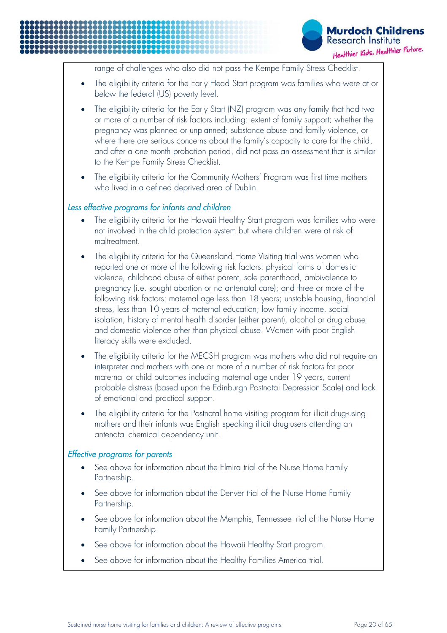# **Murdoch Childrens** Research Institute Healthier Kids. Healthier Fotore.

range of challenges who also did not pass the Kempe Family Stress Checklist.

- The eligibility criteria for the Early Head Start program was families who were at or below the federal (US) poverty level.
- The eligibility criteria for the Early Start (NZ) program was any family that had two or more of a number of risk factors including: extent of family support; whether the pregnancy was planned or unplanned; substance abuse and family violence, or where there are serious concerns about the family's capacity to care for the child, and after a one month probation period, did not pass an assessment that is similar to the Kempe Family Stress Checklist.
- The eligibility criteria for the Community Mothers' Program was first time mothers who lived in a defined deprived area of Dublin.

#### *Less effective programs for infants and children*

- The eligibility criteria for the Hawaii Healthy Start program was families who were not involved in the child protection system but where children were at risk of maltreatment.
- The eligibility criteria for the Queensland Home Visiting trial was women who reported one or more of the following risk factors: physical forms of domestic violence, childhood abuse of either parent, sole parenthood, ambivalence to pregnancy (i.e. sought abortion or no antenatal care); and three or more of the following risk factors: maternal age less than 18 years; unstable housing, financial stress, less than 10 years of maternal education; low family income, social isolation, history of mental health disorder (either parent), alcohol or drug abuse and domestic violence other than physical abuse. Women with poor English literacy skills were excluded.
- The eligibility criteria for the MECSH program was mothers who did not require an interpreter and mothers with one or more of a number of risk factors for poor maternal or child outcomes including maternal age under 19 years, current probable distress (based upon the Edinburgh Postnatal Depression Scale) and lack of emotional and practical support.
- The eligibility criteria for the Postnatal home visiting program for illicit drug-using mothers and their infants was English speaking illicit drug-users attending an antenatal chemical dependency unit.

#### *Effective programs for parents*

- See above for information about the Elmira trial of the Nurse Home Family Partnership.
- See above for information about the Denver trial of the Nurse Home Family Partnership.
- See above for information about the Memphis, Tennessee trial of the Nurse Home Family Partnership.
- See above for information about the Hawaii Healthy Start program.
- See above for information about the Healthy Families America trial.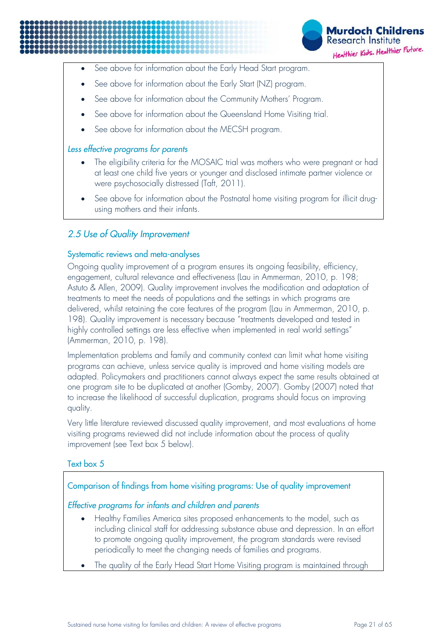

- See above for information about the Early Head Start program.
- See above for information about the Early Start (NZ) program.
- See above for information about the Community Mothers' Program.
- See above for information about the Queensland Home Visiting trial.
- See above for information about the MECSH program.

#### *Less effective programs for parents*

- The eligibility criteria for the MOSAIC trial was mothers who were pregnant or had at least one child five years or younger and disclosed intimate partner violence or were psychosocially distressed (Taft, 2011).
- See above for information about the Postnatal home visiting program for illicit drugusing mothers and their infants.

### <span id="page-25-0"></span>*2.5 Use of Quality Improvement*

#### Systematic reviews and meta-analyses

Ongoing quality improvement of a program ensures its ongoing feasibility, efficiency, engagement, cultural relevance and effectiveness (Lau in Ammerman, 2010, p. 198; Astuto & Allen, 2009). Quality improvement involves the modification and adaptation of treatments to meet the needs of populations and the settings in which programs are delivered, whilst retaining the core features of the program (Lau in Ammerman, 2010, p. 198). Quality improvement is necessary because "treatments developed and tested in highly controlled settings are less effective when implemented in real world settings" (Ammerman, 2010, p. 198).

Implementation problems and family and community context can limit what home visiting programs can achieve, unless service quality is improved and home visiting models are adapted. Policymakers and practitioners cannot always expect the same results obtained at one program site to be duplicated at another (Gomby, 2007). Gomby (2007) noted that to increase the likelihood of successful duplication, programs should focus on improving quality.

Very little literature reviewed discussed quality improvement, and most evaluations of home visiting programs reviewed did not include information about the process of quality improvement (see Text box 5 below).

#### Text box 5

#### Comparison of findings from home visiting programs: Use of quality improvement

#### *Effective programs for infants and children and parents*

- Healthy Families America sites proposed enhancements to the model, such as including clinical staff for addressing substance abuse and depression. In an effort to promote ongoing quality improvement, the program standards were revised periodically to meet the changing needs of families and programs.
- The quality of the Early Head Start Home Visiting program is maintained through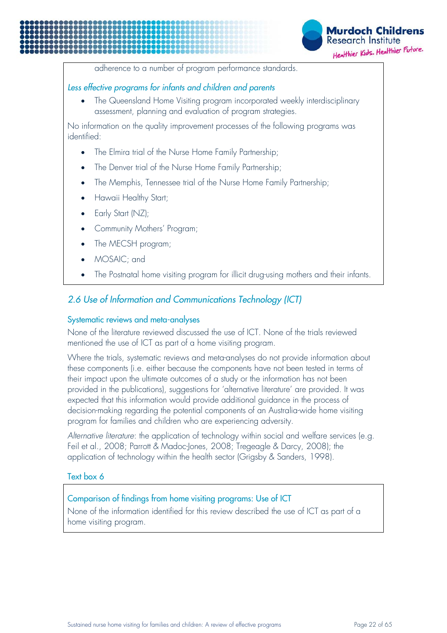

adherence to a number of program performance standards.

#### *Less effective programs for infants and children and parents*

 The Queensland Home Visiting program incorporated weekly interdisciplinary assessment, planning and evaluation of program strategies.

No information on the quality improvement processes of the following programs was identified:

- The Elmira trial of the Nurse Home Family Partnership;
- The Denver trial of the Nurse Home Family Partnership;
- The Memphis, Tennessee trial of the Nurse Home Family Partnership;
- Hawaii Healthy Start;
- Early Start (NZ);
- Community Mothers' Program;
- The MECSH program;
- MOSAIC; and
- The Postnatal home visiting program for illicit drug-using mothers and their infants.

#### <span id="page-26-0"></span>*2.6 Use of Information and Communications Technology (ICT)*

#### Systematic reviews and meta-analyses

None of the literature reviewed discussed the use of ICT. None of the trials reviewed mentioned the use of ICT as part of a home visiting program.

Where the trials, systematic reviews and meta-analyses do not provide information about these components (i.e. either because the components have not been tested in terms of their impact upon the ultimate outcomes of a study or the information has not been provided in the publications), suggestions for 'alternative literature' are provided. It was expected that this information would provide additional guidance in the process of decision-making regarding the potential components of an Australia-wide home visiting program for families and children who are experiencing adversity.

*Alternative literature*: the application of technology within social and welfare services (e.g. Feil et al., 2008; Parrott & Madoc-Jones, 2008; Tregeagle & Darcy, 2008); the application of technology within the health sector (Grigsby & Sanders, 1998).

#### Text box 6

#### Comparison of findings from home visiting programs: Use of ICT

<span id="page-26-1"></span>None of the information identified for this review described the use of ICT as part of a home visiting program.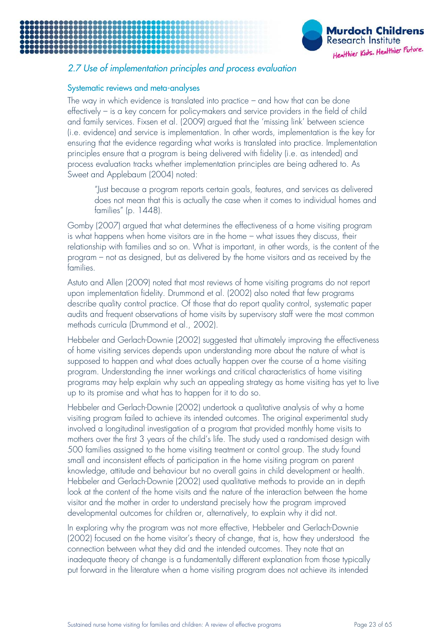



# *2.7 Use of implementation principles and process evaluation*

#### Systematic reviews and meta-analyses

The way in which evidence is translated into practice – and how that can be done effectively – is a key concern for policy-makers and service providers in the field of child and family services. Fixsen et al. (2009) argued that the 'missing link' between science (i.e. evidence) and service is implementation. In other words, implementation is the key for ensuring that the evidence regarding what works is translated into practice. Implementation principles ensure that a program is being delivered with fidelity (i.e. as intended) and process evaluation tracks whether implementation principles are being adhered to. As Sweet and Applebaum (2004) noted:

"Just because a program reports certain goals, features, and services as delivered does not mean that this is actually the case when it comes to individual homes and families" (p. 1448).

Gomby (2007) argued that what determines the effectiveness of a home visiting program is what happens when home visitors are in the home – what issues they discuss, their relationship with families and so on. What is important, in other words, is the content of the program – not as designed, but as delivered by the home visitors and as received by the families.

Astuto and Allen (2009) noted that most reviews of home visiting programs do not report upon implementation fidelity. Drummond et al. (2002) also noted that few programs describe quality control practice. Of those that do report quality control, systematic paper audits and frequent observations of home visits by supervisory staff were the most common methods curricula (Drummond et al., 2002).

Hebbeler and Gerlach-Downie (2002) suggested that ultimately improving the effectiveness of home visiting services depends upon understanding more about the nature of what is supposed to happen and what does actually happen over the course of a home visiting program. Understanding the inner workings and critical characteristics of home visiting programs may help explain why such an appealing strategy as home visiting has yet to live up to its promise and what has to happen for it to do so.

Hebbeler and Gerlach-Downie (2002) undertook a qualitative analysis of why a home visiting program failed to achieve its intended outcomes. The original experimental study involved a longitudinal investigation of a program that provided monthly home visits to mothers over the first 3 years of the child's life. The study used a randomised design with 500 families assigned to the home visiting treatment or control group. The study found small and inconsistent effects of participation in the home visiting program on parent knowledge, attitude and behaviour but no overall gains in child development or health. Hebbeler and Gerlach-Downie (2002) used qualitative methods to provide an in depth look at the content of the home visits and the nature of the interaction between the home visitor and the mother in order to understand precisely how the program improved developmental outcomes for children or, alternatively, to explain why it did not.

In exploring why the program was not more effective, Hebbeler and Gerlach-Downie (2002) focused on the home visitor's theory of change, that is, how they understood the connection between what they did and the intended outcomes. They note that an inadequate theory of change is a fundamentally different explanation from those typically put forward in the literature when a home visiting program does not achieve its intended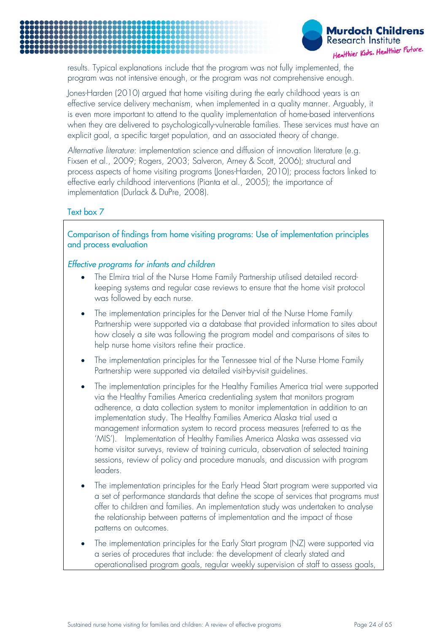



results. Typical explanations include that the program was not fully implemented, the program was not intensive enough, or the program was not comprehensive enough.

Jones-Harden (2010) argued that home visiting during the early childhood years is an effective service delivery mechanism, when implemented in a quality manner. Arguably, it is even more important to attend to the quality implementation of home-based interventions when they are delivered to psychologically-vulnerable families. These services must have an explicit goal, a specific target population, and an associated theory of change.

*Alternative literature*: implementation science and diffusion of innovation literature (e.g. Fixsen et al., 2009; Rogers, 2003; Salveron, Arney & Scott, 2006); structural and process aspects of home visiting programs (Jones-Harden, 2010); process factors linked to effective early childhood interventions (Pianta et al., 2005); the importance of implementation (Durlack & DuPre, 2008).

#### Text box 7

Comparison of findings from home visiting programs: Use of implementation principles and process evaluation

#### *Effective programs for infants and children*

- The Elmira trial of the Nurse Home Family Partnership utilised detailed recordkeeping systems and regular case reviews to ensure that the home visit protocol was followed by each nurse.
- The implementation principles for the Denver trial of the Nurse Home Family Partnership were supported via a database that provided information to sites about how closely a site was following the program model and comparisons of sites to help nurse home visitors refine their practice.
- The implementation principles for the Tennessee trial of the Nurse Home Family Partnership were supported via detailed visit-by-visit guidelines.
- The implementation principles for the Healthy Families America trial were supported via the Healthy Families America credentialing system that monitors program adherence, a data collection system to monitor implementation in addition to an implementation study. The Healthy Families America Alaska trial used a management information system to record process measures (referred to as the 'MIS'). Implementation of Healthy Families America Alaska was assessed via home visitor surveys, review of training curricula, observation of selected training sessions, review of policy and procedure manuals, and discussion with program leaders.
- The implementation principles for the Early Head Start program were supported via a set of performance standards that define the scope of services that programs must offer to children and families. An implementation study was undertaken to analyse the relationship between patterns of implementation and the impact of those patterns on outcomes.
- The implementation principles for the Early Start program (NZ) were supported via a series of procedures that include: the development of clearly stated and operationalised program goals, regular weekly supervision of staff to assess goals,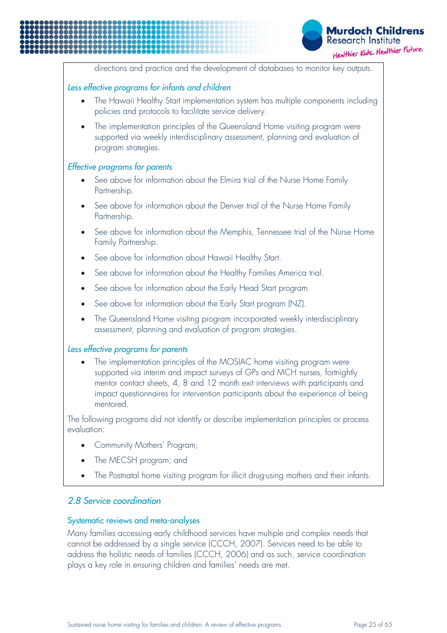

directions and practice and the development of databases to monitor key outputs.

#### *Less effective programs for infants and children*

- The Hawaii Healthy Start implementation system has multiple components including policies and protocols to facilitate service delivery.
- The implementation principles of the Queensland Home visiting program were supported via weekly interdisciplinary assessment, planning and evaluation of program strategies.

#### *Effective programs for parents*

- See above for information about the Elmira trial of the Nurse Home Family Partnership.
- See above for information about the Denver trial of the Nurse Home Family Partnership.
- See above for information about the Memphis, Tennessee trial of the Nurse Home Family Partnership.
- See above for information about Hawaii Healthy Start.
- See above for information about the Healthy Families America trial.
- See above for information about the Early Head Start program.
- See above for information about the Early Start program (NZ).
- The Queensland Home visiting program incorporated weekly interdisciplinary assessment, planning and evaluation of program strategies.

#### *Less effective programs for parents*

 The implementation principles of the MOSIAC home visiting program were supported via interim and impact surveys of GPs and MCH nurses, fortnightly mentor contact sheets, 4, 8 and 12 month exit interviews with participants and impact questionnaires for intervention participants about the experience of being mentored.

The following programs did not identify or describe implementation principles or process evaluation:

- Community Mothers' Program;
- The MECSH program; and
- The Postnatal home visiting program for illicit drug-using mothers and their infants.

#### <span id="page-29-0"></span>*2.8 Service coordination*

#### Systematic reviews and meta-analyses

Many families accessing early childhood services have multiple and complex needs that cannot be addressed by a single service (CCCH, 2007). Services need to be able to address the holistic needs of families (CCCH, 2006) and as such, service coordination plays a key role in ensuring children and families' needs are met.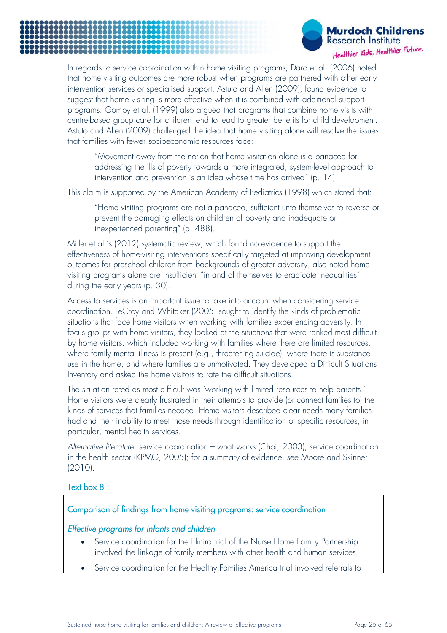



In regards to service coordination within home visiting programs, Daro et al. (2006) noted that home visiting outcomes are more robust when programs are partnered with other early intervention services or specialised support. Astuto and Allen (2009), found evidence to suggest that home visiting is more effective when it is combined with additional support programs. Gomby et al. (1999) also argued that programs that combine home visits with centre-based group care for children tend to lead to greater benefits for child development. Astuto and Allen (2009) challenged the idea that home visiting alone will resolve the issues that families with fewer socioeconomic resources face:

"Movement away from the notion that home visitation alone is a panacea for addressing the ills of poverty towards a more integrated, system-level approach to intervention and prevention is an idea whose time has arrived" (p. 14).

This claim is supported by the American Academy of Pediatrics (1998) which stated that:

"Home visiting programs are not a panacea, sufficient unto themselves to reverse or prevent the damaging effects on children of poverty and inadequate or inexperienced parenting" (p. 488).

Miller et al.'s (2012) systematic review, which found no evidence to support the effectiveness of home-visiting interventions specifically targeted at improving development outcomes for preschool children from backgrounds of greater adversity, also noted home visiting programs alone are insufficient "in and of themselves to eradicate inequalities" during the early years (p. 30).

Access to services is an important issue to take into account when considering service coordination. LeCroy and Whitaker (2005) sought to identify the kinds of problematic situations that face home visitors when working with families experiencing adversity. In focus groups with home visitors, they looked at the situations that were ranked most difficult by home visitors, which included working with families where there are limited resources, where family mental illness is present (e.g., threatening suicide), where there is substance use in the home, and where families are unmotivated. They developed a Difficult Situations Inventory and asked the home visitors to rate the difficult situations.

The situation rated as most difficult was 'working with limited resources to help parents.' Home visitors were clearly frustrated in their attempts to provide (or connect families to) the kinds of services that families needed. Home visitors described clear needs many families had and their inability to meet those needs through identification of specific resources, in particular, mental health services.

*Alternative literature*: service coordination – what works (Choi, 2003); service coordination in the health sector (KPMG, 2005); for a summary of evidence, see Moore and Skinner (2010).

### Text box 8

#### Comparison of findings from home visiting programs: service coordination

#### *Effective programs for infants and children*

- Service coordination for the Elmira trial of the Nurse Home Family Partnership involved the linkage of family members with other health and human services.
- Service coordination for the Healthy Families America trial involved referrals to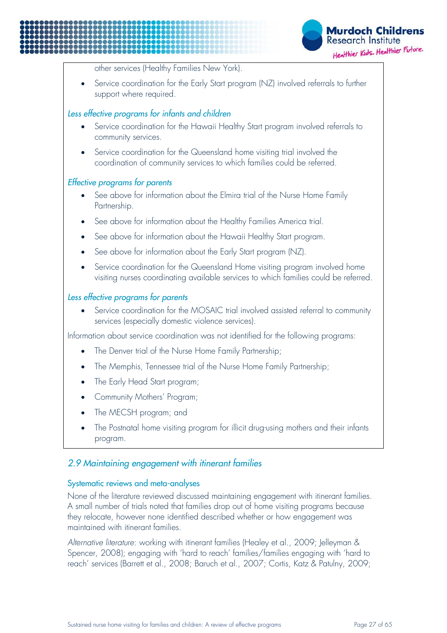

other services (Healthy Families New York).

• Service coordination for the Early Start program (NZ) involved referrals to further support where required.

#### *Less effective programs for infants and children*

- Service coordination for the Hawaii Healthy Start program involved referrals to community services.
- Service coordination for the Queensland home visiting trial involved the coordination of community services to which families could be referred.

#### *Effective programs for parents*

- See above for information about the Elmira trial of the Nurse Home Family Partnership.
- See above for information about the Healthy Families America trial.
- See above for information about the Hawaii Healthy Start program.
- See above for information about the Early Start program (NZ).
- Service coordination for the Queensland Home visiting program involved home visiting nurses coordinating available services to which families could be referred.

#### *Less effective programs for parents*

 Service coordination for the MOSAIC trial involved assisted referral to community services (especially domestic violence services).

Information about service coordination was not identified for the following programs:

- The Denver trial of the Nurse Home Family Partnership;
- The Memphis, Tennessee trial of the Nurse Home Family Partnership;
- The Early Head Start program;
- Community Mothers' Program;
- The MECSH program; and
- The Postnatal home visiting program for illicit drug-using mothers and their infants program.

#### <span id="page-31-0"></span>*2.9 Maintaining engagement with itinerant families*

#### Systematic reviews and meta-analyses

None of the literature reviewed discussed maintaining engagement with itinerant families. A small number of trials noted that families drop out of home visiting programs because they relocate, however none identified described whether or how engagement was maintained with itinerant families.

*Alternative literature*: working with itinerant families (Healey et al., 2009; Jelleyman & Spencer, 2008); engaging with 'hard to reach' families/families engaging with 'hard to reach' services (Barrett et al., 2008; Baruch et al., 2007; Cortis, Katz & Patulny, 2009;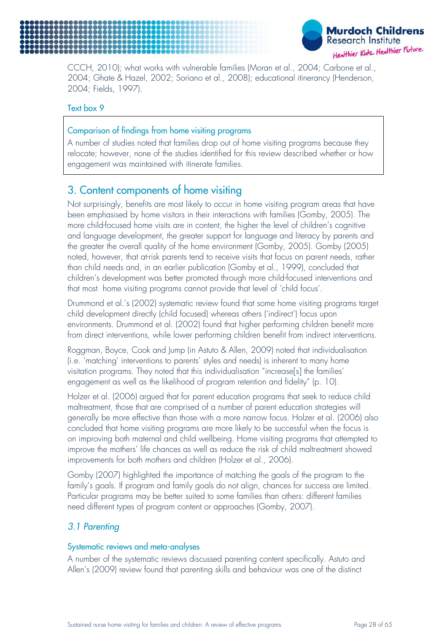CCCH, 2010); what works with vulnerable families (Moran et al., 2004; Carbone et al., 2004; Ghate & Hazel, 2002; Soriano et al., 2008); educational itinerancy (Henderson, 2004; Fields, 1997).

#### Text box 9

#### Comparison of findings from home visiting programs

A number of studies noted that families drop out of home visiting programs because they relocate; however, none of the studies identified for this review described whether or how engagement was maintained with itinerate families.

# <span id="page-32-0"></span>3. Content components of home visiting

Not surprisingly, benefits are most likely to occur in home visiting program areas that have been emphasised by home visitors in their interactions with families (Gomby, 2005). The more child-focused home visits are in content, the higher the level of children's cognitive and language development, the greater support for language and literacy by parents and the greater the overall quality of the home environment (Gomby, 2005). Gomby (2005) noted, however, that at-risk parents tend to receive visits that focus on parent needs, rather than child needs and, in an earlier publication (Gomby et al., 1999), concluded that children's development was better promoted through more child-focused interventions and that most home visiting programs cannot provide that level of 'child focus'.

Drummond et al.'s (2002) systematic review found that some home visiting programs target child development directly (child focused) whereas others ('indirect') focus upon environments. Drummond et al. (2002) found that higher performing children benefit more from direct interventions, while lower performing children benefit from indirect interventions.

Roggman, Boyce, Cook and Jump (in Astuto & Allen, 2009) noted that individualisation (i.e. 'matching' interventions to parents' styles and needs) is inherent to many home visitation programs. They noted that this individualisation "increase[s] the families' engagement as well as the likelihood of program retention and fidelity" (p. 10).

Holzer et al. (2006) argued that for parent education programs that seek to reduce child maltreatment, those that are comprised of a number of parent education strategies will generally be more effective than those with a more narrow focus. Holzer et al. (2006) also concluded that home visiting programs are more likely to be successful when the focus is on improving both maternal and child wellbeing. Home visiting programs that attempted to improve the mothers' life chances as well as reduce the risk of child maltreatment showed improvements for both mothers and children (Holzer et al., 2006).

Gomby (2007) highlighted the importance of matching the goals of the program to the family's goals. If program and family goals do not align, chances for success are limited. Particular programs may be better suited to some families than others: different families need different types of program content or approaches (Gomby, 2007).

#### <span id="page-32-1"></span>*3.1 Parenting*

#### Systematic reviews and meta-analyses

A number of the systematic reviews discussed parenting content specifically. Astuto and Allen's (2009) review found that parenting skills and behaviour was one of the distinct

**Murdoch Childrens** 

Healthier Kids. Healthier Fotore.

Research Institute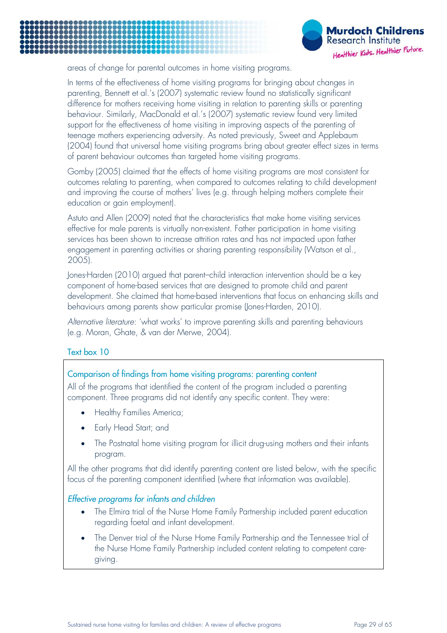



areas of change for parental outcomes in home visiting programs.

In terms of the effectiveness of home visiting programs for bringing about changes in parenting, Bennett et al.'s (2007) systematic review found no statistically significant difference for mothers receiving home visiting in relation to parenting skills or parenting behaviour. Similarly, MacDonald et al.'s (2007) systematic review found very limited support for the effectiveness of home visiting in improving aspects of the parenting of teenage mothers experiencing adversity. As noted previously, Sweet and Applebaum (2004) found that universal home visiting programs bring about greater effect sizes in terms of parent behaviour outcomes than targeted home visiting programs.

Gomby (2005) claimed that the effects of home visiting programs are most consistent for outcomes relating to parenting, when compared to outcomes relating to child development and improving the course of mothers' lives (e.g. through helping mothers complete their education or gain employment).

Astuto and Allen (2009) noted that the characteristics that make home visiting services effective for male parents is virtually non-existent. Father participation in home visiting services has been shown to increase attrition rates and has not impacted upon father engagement in parenting activities or sharing parenting responsibility (Watson et al., 2005).

Jones-Harden (2010) argued that parent–child interaction intervention should be a key component of home-based services that are designed to promote child and parent development. She claimed that home-based interventions that focus on enhancing skills and behaviours among parents show particular promise (Jones-Harden, 2010).

*Alternative literature*: 'what works' to improve parenting skills and parenting behaviours (e.g. Moran, Ghate, & van der Merwe, 2004).

#### Text box 10

#### Comparison of findings from home visiting programs: parenting content

All of the programs that identified the content of the program included a parenting component. Three programs did not identify any specific content. They were:

- Healthy Families America;
- Early Head Start; and
- The Postnatal home visiting program for illicit drug-using mothers and their infants program.

All the other programs that did identify parenting content are listed below, with the specific focus of the parenting component identified (where that information was available).

#### *Effective programs for infants and children*

- The Elmira trial of the Nurse Home Family Partnership included parent education regarding foetal and infant development.
- The Denver trial of the Nurse Home Family Partnership and the Tennessee trial of the Nurse Home Family Partnership included content relating to competent caregiving.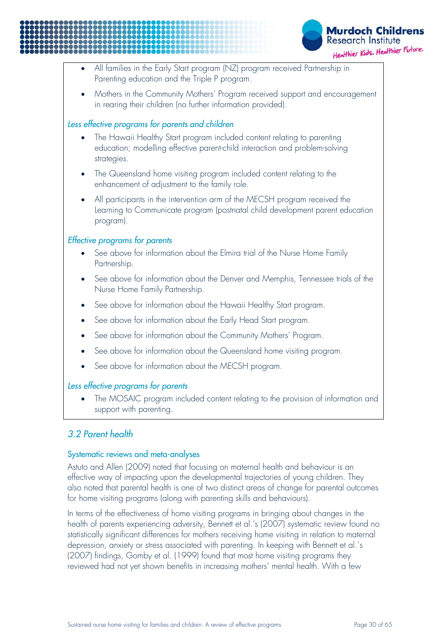

- All families in the Early Start program (NZ) program received Partnership in Parenting education and the Triple P program.
- Mothers in the Community Mothers' Program received support and encouragement in rearing their children (no further information provided).

#### *Less effective programs for parents and children*

- The Hawaii Healthy Start program included content relating to parenting education; modelling effective parent-child interaction and problem-solving strategies.
- The Queensland home visiting program included content relating to the enhancement of adjustment to the family role.
- All participants in the intervention arm of the MECSH program received the Learning to Communicate program (postnatal child development parent education program).

#### *Effective programs for parents*

- See above for information about the Elmira trial of the Nurse Home Family Partnership.
- See above for information about the Denver and Memphis, Tennessee trials of the Nurse Home Family Partnership.
- See above for information about the Hawaii Healthy Start program.
- See above for information about the Early Head Start program.
- See above for information about the Community Mothers' Program.
- See above for information about the Queensland home visiting program.
- See above for information about the MECSH program.

#### *Less effective programs for parents*

 The MOSAIC program included content relating to the provision of information and support with parenting.

#### <span id="page-34-0"></span>*3.2 Parent health*

#### Systematic reviews and meta-analyses

Astuto and Allen (2009) noted that focusing on maternal health and behaviour is an effective way of impacting upon the developmental trajectories of young children. They also noted that parental health is one of two distinct areas of change for parental outcomes for home visiting programs (along with parenting skills and behaviours).

In terms of the effectiveness of home visiting programs in bringing about changes in the health of parents experiencing adversity, Bennett et al.'s (2007) systematic review found no statistically significant differences for mothers receiving home visiting in relation to maternal depression, anxiety or stress associated with parenting. In keeping with Bennett et al.'s (2007) findings, Gomby et al. (1999) found that most home visiting programs they reviewed had not yet shown benefits in increasing mothers' mental health. With a few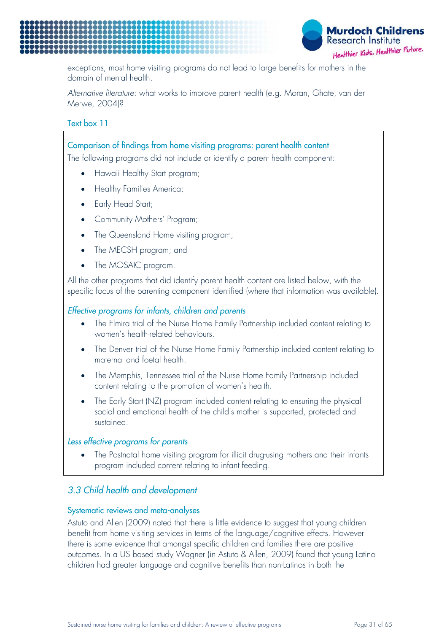



exceptions, most home visiting programs do not lead to large benefits for mothers in the domain of mental health.

*Alternative literature*: what works to improve parent health (e.g. Moran, Ghate, van der Merwe, 2004)?

#### Text box 11

#### Comparison of findings from home visiting programs: parent health content

The following programs did not include or identify a parent health component:

- Hawaii Healthy Start program;
- Healthy Families America;
- Early Head Start;
- Community Mothers' Program;
- The Queensland Home visiting program;
- The MECSH program; and
- The MOSAIC program.

All the other programs that did identify parent health content are listed below, with the specific focus of the parenting component identified (where that information was available).

#### *Effective programs for infants, children and parents*

- The Elmira trial of the Nurse Home Family Partnership included content relating to women's health-related behaviours.
- The Denver trial of the Nurse Home Family Partnership included content relating to maternal and foetal health.
- The Memphis, Tennessee trial of the Nurse Home Family Partnership included content relating to the promotion of women's health.
- The Early Start (NZ) program included content relating to ensuring the physical social and emotional health of the child's mother is supported, protected and sustained.

#### *Less effective programs for parents*

 The Postnatal home visiting program for illicit drug-using mothers and their infants program included content relating to infant feeding.

### <span id="page-35-0"></span>*3.3 Child health and development*

#### Systematic reviews and meta-analyses

Astuto and Allen (2009) noted that there is little evidence to suggest that young children benefit from home visiting services in terms of the language/cognitive effects. However there is some evidence that amongst specific children and families there are positive outcomes. In a US based study Wagner (in Astuto & Allen, 2009) found that young Latino children had greater language and cognitive benefits than non-Latinos in both the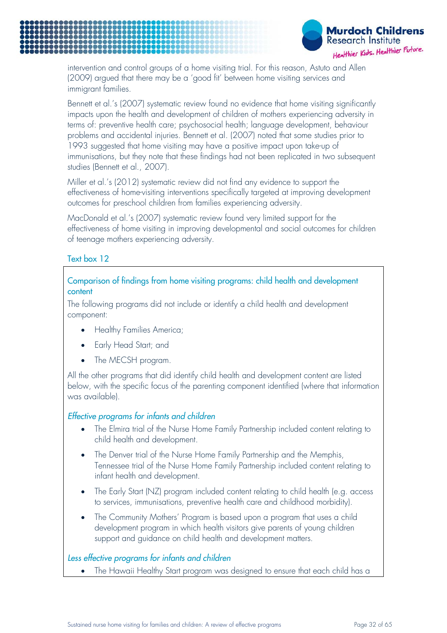



intervention and control groups of a home visiting trial. For this reason, Astuto and Allen (2009) argued that there may be a 'good fit' between home visiting services and immigrant families.

Bennett et al.'s (2007) systematic review found no evidence that home visiting significantly impacts upon the health and development of children of mothers experiencing adversity in terms of: preventive health care; psychosocial health; language development, behaviour problems and accidental injuries. Bennett et al. (2007) noted that some studies prior to 1993 suggested that home visiting may have a positive impact upon take-up of immunisations, but they note that these findings had not been replicated in two subsequent studies (Bennett et al., 2007).

Miller et al.'s (2012) systematic review did not find any evidence to support the effectiveness of home-visiting interventions specifically targeted at improving development outcomes for preschool children from families experiencing adversity.

MacDonald et al.'s (2007) systematic review found very limited support for the effectiveness of home visiting in improving developmental and social outcomes for children of teenage mothers experiencing adversity.

#### Text box 12

#### Comparison of findings from home visiting programs: child health and development content

The following programs did not include or identify a child health and development component:

- Healthy Families America;
- Early Head Start; and
- The MECSH program.

All the other programs that did identify child health and development content are listed below, with the specific focus of the parenting component identified (where that information was available).

#### *Effective programs for infants and children*

- The Elmira trial of the Nurse Home Family Partnership included content relating to child health and development.
- The Denver trial of the Nurse Home Family Partnership and the Memphis, Tennessee trial of the Nurse Home Family Partnership included content relating to infant health and development.
- The Early Start (NZ) program included content relating to child health (e.g. access to services, immunisations, preventive health care and childhood morbidity).
- The Community Mothers' Program is based upon a program that uses a child development program in which health visitors give parents of young children support and guidance on child health and development matters.

#### *Less effective programs for infants and children*

The Hawaii Healthy Start program was designed to ensure that each child has a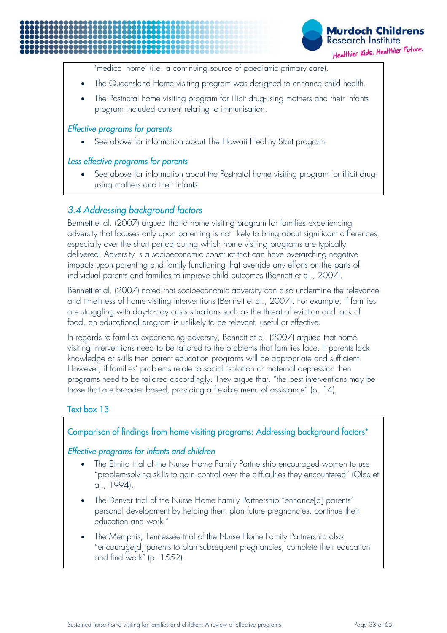

'medical home' (i.e. a continuing source of paediatric primary care).

- The Queensland Home visiting program was designed to enhance child health.
- The Postnatal home visiting program for illicit drug-using mothers and their infants program included content relating to immunisation.

#### *Effective programs for parents*

See above for information about The Hawaii Healthy Start program.

#### *Less effective programs for parents*

 See above for information about the Postnatal home visiting program for illicit drugusing mothers and their infants.

### <span id="page-37-0"></span>*3.4 Addressing background factors*

Bennett et al. (2007) argued that a home visiting program for families experiencing adversity that focuses only upon parenting is not likely to bring about significant differences, especially over the short period during which home visiting programs are typically delivered. Adversity is a socioeconomic construct that can have overarching negative impacts upon parenting and family functioning that override any efforts on the parts of individual parents and families to improve child outcomes (Bennett et al., 2007).

Bennett et al. (2007) noted that socioeconomic adversity can also undermine the relevance and timeliness of home visiting interventions (Bennett et al., 2007). For example, if families are struggling with day-to-day crisis situations such as the threat of eviction and lack of food, an educational program is unlikely to be relevant, useful or effective.

In regards to families experiencing adversity, Bennett et al. (2007) argued that home visiting interventions need to be tailored to the problems that families face. If parents lack knowledge or skills then parent education programs will be appropriate and sufficient. However, if families' problems relate to social isolation or maternal depression then programs need to be tailored accordingly. They argue that, "the best interventions may be those that are broader based, providing a flexible menu of assistance" (p. 14).

#### Text box 13

Comparison of findings from home visiting programs: Addressing background factors\*

#### *Effective programs for infants and children*

- The Elmira trial of the Nurse Home Family Partnership encouraged women to use "problem-solving skills to gain control over the difficulties they encountered" (Olds et al., 1994).
- The Denver trial of the Nurse Home Family Partnership "enhance[d] parents' personal development by helping them plan future pregnancies, continue their education and work."
- The Memphis, Tennessee trial of the Nurse Home Family Partnership also "encourage[d] parents to plan subsequent pregnancies, complete their education and find work" (p. 1552).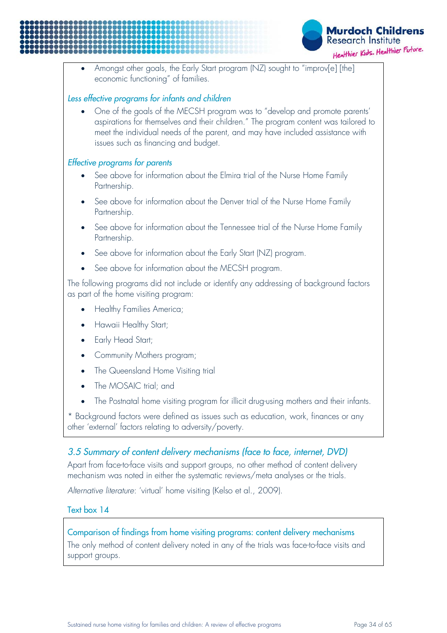

Amongst other goals, the Early Start program (NZ) sought to "improv[e] [the] economic functioning" of families.

#### *Less effective programs for infants and children*

 One of the goals of the MECSH program was to "develop and promote parents' aspirations for themselves and their children." The program content was tailored to meet the individual needs of the parent, and may have included assistance with issues such as financing and budget.

#### *Effective programs for parents*

- See above for information about the Elmira trial of the Nurse Home Family Partnership.
- See above for information about the Denver trial of the Nurse Home Family Partnership.
- See above for information about the Tennessee trial of the Nurse Home Family Partnership.
- See above for information about the Early Start (NZ) program.
- See above for information about the MECSH program.

The following programs did not include or identify any addressing of background factors as part of the home visiting program:

- Healthy Families America;
- Hawaii Healthy Start;
- Early Head Start;
- Community Mothers program;
- The Queensland Home Visiting trial
- The MOSAIC trial; and
- The Postnatal home visiting program for illicit drug-using mothers and their infants.

\* Background factors were defined as issues such as education, work, finances or any other 'external' factors relating to adversity/poverty.

#### <span id="page-38-0"></span>*3.5 Summary of content delivery mechanisms (face to face, internet, DVD)*

Apart from face-to-face visits and support groups, no other method of content delivery mechanism was noted in either the systematic reviews/meta analyses or the trials.

*Alternative literature*: 'virtual' home visiting (Kelso et al., 2009).

#### Text box 14

Comparison of findings from home visiting programs: content delivery mechanisms The only method of content delivery noted in any of the trials was face-to-face visits and support groups.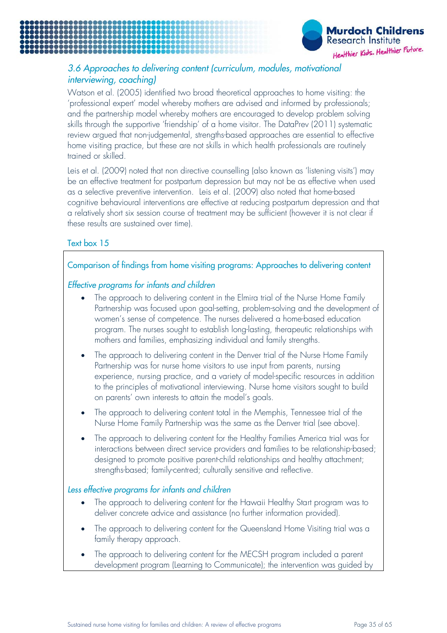

# <span id="page-39-0"></span>*3.6 Approaches to delivering content (curriculum, modules, motivational interviewing, coaching)*

Watson et al. (2005) identified two broad theoretical approaches to home visiting: the 'professional expert' model whereby mothers are advised and informed by professionals; and the partnership model whereby mothers are encouraged to develop problem solving skills through the supportive 'friendship' of a home visitor. The DataPrev (2011) systematic review argued that non-judgemental, strengths-based approaches are essential to effective home visiting practice, but these are not skills in which health professionals are routinely trained or skilled.

Leis et al. (2009) noted that non directive counselling (also known as 'listening visits') may be an effective treatment for postpartum depression but may not be as effective when used as a selective preventive intervention. Leis et al. (2009) also noted that home-based cognitive behavioural interventions are effective at reducing postpartum depression and that a relatively short six session course of treatment may be sufficient (however it is not clear if these results are sustained over time).

#### Text box 15

#### Comparison of findings from home visiting programs: Approaches to delivering content

#### *Effective programs for infants and children*

- The approach to delivering content in the Elmira trial of the Nurse Home Family Partnership was focused upon goal-setting, problem-solving and the development of women's sense of competence. The nurses delivered a home-based education program. The nurses sought to establish long-lasting, therapeutic relationships with mothers and families, emphasizing individual and family strengths.
- The approach to delivering content in the Denver trial of the Nurse Home Family Partnership was for nurse home visitors to use input from parents, nursing experience, nursing practice, and a variety of model-specific resources in addition to the principles of motivational interviewing. Nurse home visitors sought to build on parents' own interests to attain the model's goals.
- The approach to delivering content total in the Memphis, Tennessee trial of the Nurse Home Family Partnership was the same as the Denver trial (see above).
- The approach to delivering content for the Healthy Families America trial was for interactions between direct service providers and families to be relationship-based; designed to promote positive parent-child relationships and healthy attachment; strengths-based; family-centred; culturally sensitive and reflective.

#### *Less effective programs for infants and children*

- The approach to delivering content for the Hawaii Healthy Start program was to deliver concrete advice and assistance (no further information provided).
- The approach to delivering content for the Queensland Home Visiting trial was a family therapy approach.
- The approach to delivering content for the MECSH program included a parent development program (Learning to Communicate); the intervention was guided by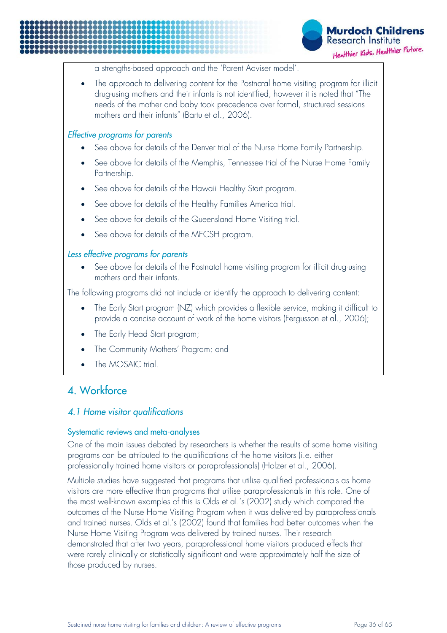

a strengths-based approach and the 'Parent Adviser model'.

 The approach to delivering content for the Postnatal home visiting program for illicit drug-using mothers and their infants is not identified, however it is noted that "The needs of the mother and baby took precedence over formal, structured sessions mothers and their infants" (Bartu et al., 2006).

#### *Effective programs for parents*

- See above for details of the Denver trial of the Nurse Home Family Partnership.
- See above for details of the Memphis, Tennessee trial of the Nurse Home Family Partnership.
- See above for details of the Hawaii Healthy Start program.
- See above for details of the Healthy Families America trial.
- See above for details of the Queensland Home Visiting trial.
- See above for details of the MECSH program.

#### *Less effective programs for parents*

• See above for details of the Postnatal home visiting program for illicit drug-using mothers and their infants.

The following programs did not include or identify the approach to delivering content:

- The Early Start program (NZ) which provides a flexible service, making it difficult to provide a concise account of work of the home visitors (Fergusson et al., 2006);
- The Early Head Start program;
- The Community Mothers' Program; and
- The MOSAIC trial.

# <span id="page-40-0"></span>4. Workforce

#### <span id="page-40-1"></span>*4.1 Home visitor qualifications*

#### Systematic reviews and meta-analyses

One of the main issues debated by researchers is whether the results of some home visiting programs can be attributed to the qualifications of the home visitors (i.e. either professionally trained home visitors or paraprofessionals) (Holzer et al., 2006).

Multiple studies have suggested that programs that utilise qualified professionals as home visitors are more effective than programs that utilise paraprofessionals in this role. One of the most well-known examples of this is Olds et al.'s (2002) study which compared the outcomes of the Nurse Home Visiting Program when it was delivered by paraprofessionals and trained nurses. Olds et al.'s (2002) found that families had better outcomes when the Nurse Home Visiting Program was delivered by trained nurses. Their research demonstrated that after two years, paraprofessional home visitors produced effects that were rarely clinically or statistically significant and were approximately half the size of those produced by nurses.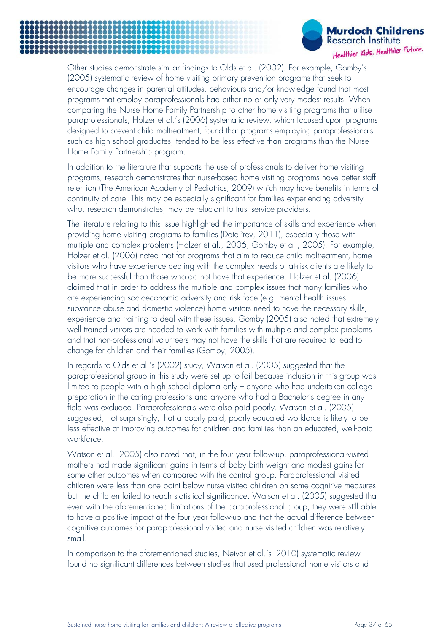



Other studies demonstrate similar findings to Olds et al. (2002). For example, Gomby's (2005) systematic review of home visiting primary prevention programs that seek to encourage changes in parental attitudes, behaviours and/or knowledge found that most programs that employ paraprofessionals had either no or only very modest results. When comparing the Nurse Home Family Partnership to other home visiting programs that utilise paraprofessionals, Holzer et al.'s (2006) systematic review, which focused upon programs designed to prevent child maltreatment, found that programs employing paraprofessionals, such as high school graduates, tended to be less effective than programs than the Nurse Home Family Partnership program.

In addition to the literature that supports the use of professionals to deliver home visiting programs, research demonstrates that nurse-based home visiting programs have better staff retention (The American Academy of Pediatrics, 2009) which may have benefits in terms of continuity of care. This may be especially significant for families experiencing adversity who, research demonstrates, may be reluctant to trust service providers.

The literature relating to this issue highlighted the importance of skills and experience when providing home visiting programs to families (DataPrev, 2011), especially those with multiple and complex problems (Holzer et al., 2006; Gomby et al., 2005). For example, Holzer et al. (2006) noted that for programs that aim to reduce child maltreatment, home visitors who have experience dealing with the complex needs of at-risk clients are likely to be more successful than those who do not have that experience. Holzer et al. (2006) claimed that in order to address the multiple and complex issues that many families who are experiencing socioeconomic adversity and risk face (e.g. mental health issues, substance abuse and domestic violence) home visitors need to have the necessary skills, experience and training to deal with these issues. Gomby (2005) also noted that extremely well trained visitors are needed to work with families with multiple and complex problems and that non-professional volunteers may not have the skills that are required to lead to change for children and their families (Gomby, 2005).

In regards to Olds et al.'s (2002) study, Watson et al. (2005) suggested that the paraprofessional group in this study were set up to fail because inclusion in this group was limited to people with a high school diploma only – anyone who had undertaken college preparation in the caring professions and anyone who had a Bachelor's degree in any field was excluded. Paraprofessionals were also paid poorly. Watson et al. (2005) suggested, not surprisingly, that a poorly paid, poorly educated workforce is likely to be less effective at improving outcomes for children and families than an educated, well-paid workforce.

Watson et al. (2005) also noted that, in the four year follow-up, paraprofessional-visited mothers had made significant gains in terms of baby birth weight and modest gains for some other outcomes when compared with the control group. Paraprofessional visited children were less than one point below nurse visited children on some cognitive measures but the children failed to reach statistical significance. Watson et al. (2005) suggested that even with the aforementioned limitations of the paraprofessional group, they were still able to have a positive impact at the four year follow-up and that the actual difference between cognitive outcomes for paraprofessional visited and nurse visited children was relatively small.

In comparison to the aforementioned studies, Neivar et al.'s (2010) systematic review found no significant differences between studies that used professional home visitors and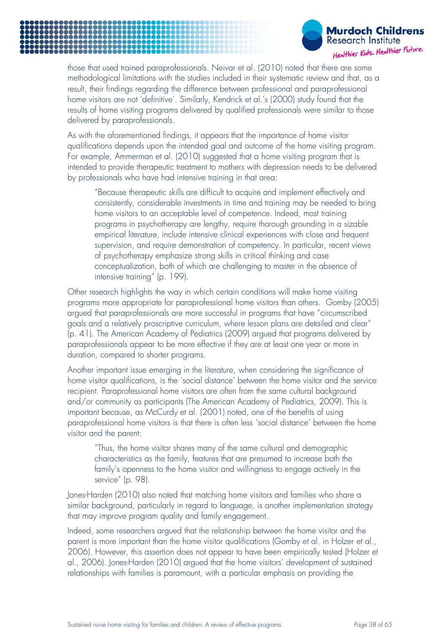



those that used trained paraprofessionals. Neivar et al. (2010) noted that there are some methodological limitations with the studies included in their systematic review and that, as a result, their findings regarding the difference between professional and paraprofessional home visitors are not 'definitive'. Similarly, Kendrick et al.'s (2000) study found that the results of home visiting programs delivered by qualified professionals were similar to those delivered by paraprofessionals.

As with the aforementioned findings, it appears that the importance of home visitor qualifications depends upon the intended goal and outcome of the home visiting program. For example, Ammerman et al. (2010) suggested that a home visiting program that is intended to provide therapeutic treatment to mothers with depression needs to be delivered by professionals who have had intensive training in that area:

"Because therapeutic skills are difficult to acquire and implement effectively and consistently, considerable investments in time and training may be needed to bring home visitors to an acceptable level of competence. Indeed, most training programs in psychotherapy are lengthy, require thorough grounding in a sizable empirical literature, include intensive clinical experiences with close and frequent supervision, and require demonstration of competency. In particular, recent views of psychotherapy emphasize strong skills in critical thinking and case conceptualization, both of which are challenging to master in the absence of intensive training" (p. 199).

Other research highlights the way in which certain conditions will make home visiting programs more appropriate for paraprofessional home visitors than others. Gomby (2005) argued that paraprofessionals are more successful in programs that have "circumscribed goals and a relatively proscriptive curriculum, where lesson plans are detailed and clear" (p. 41). The American Academy of Pediatrics (2009) argued that programs delivered by paraprofessionals appear to be more effective if they are at least one year or more in duration, compared to shorter programs.

Another important issue emerging in the literature, when considering the significance of home visitor qualifications, is the 'social distance' between the home visitor and the service recipient. Paraprofessional home visitors are often from the same cultural background and/or community as participants (The American Academy of Pediatrics, 2009). This is important because, as McCurdy et al. (2001) noted, one of the benefits of using paraprofessional home visitors is that there is often less 'social distance' between the home visitor and the parent:

"Thus, the home visitor shares many of the same cultural and demographic characteristics as the family, features that are presumed to increase both the family's openness to the home visitor and willingness to engage actively in the service" (p. 98).

Jones-Harden (2010) also noted that matching home visitors and families who share a similar background, particularly in regard to language, is another implementation strategy that may improve program quality and family engagement.

Indeed, some researchers argued that the relationship between the home visitor and the parent is more important than the home visitor qualifications (Gomby et al. in Holzer et al., 2006). However, this assertion does not appear to have been empirically tested (Holzer et al., 2006). Jones-Harden (2010) argued that the home visitors' development of sustained relationships with families is paramount, with a particular emphasis on providing the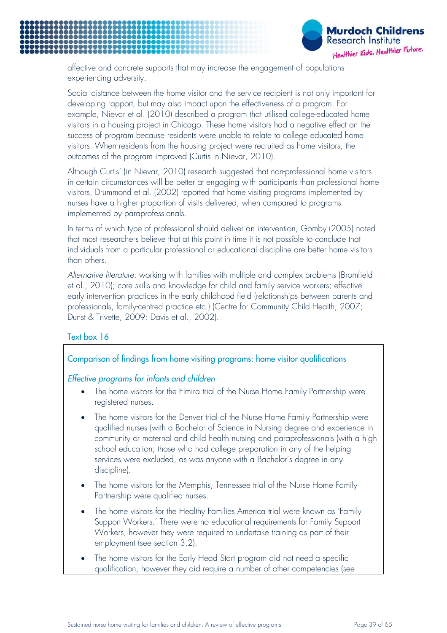



affective and concrete supports that may increase the engagement of populations experiencing adversity.

Social distance between the home visitor and the service recipient is not only important for developing rapport, but may also impact upon the effectiveness of a program. For example, Nievar et al. (2010) described a program that utilised college-educated home visitors in a housing project in Chicago. These home visitors had a negative effect on the success of program because residents were unable to relate to college educated home visitors. When residents from the housing project were recruited as home visitors, the outcomes of the program improved (Curtis in Nievar, 2010).

Although Curtis' (in Nievar, 2010) research suggested that non-professional home visitors in certain circumstances will be better at engaging with participants than professional home visitors, Drummond et al. (2002) reported that home visiting programs implemented by nurses have a higher proportion of visits delivered, when compared to programs implemented by paraprofessionals.

In terms of which type of professional should deliver an intervention, Gomby (2005) noted that most researchers believe that at this point in time it is not possible to conclude that individuals from a particular professional or educational discipline are better home visitors than others.

*Alternative literature*: working with families with multiple and complex problems (Bromfield et al., 2010); core skills and knowledge for child and family service workers; effective early intervention practices in the early childhood field (relationships between parents and professionals, family-centred practice etc.) (Centre for Community Child Health, 2007; Dunst & Trivette, 2009; Davis et al., 2002).

#### Text box 16

#### Comparison of findings from home visiting programs: home visitor qualifications

#### *Effective programs for infants and children*

- The home visitors for the Elmira trial of the Nurse Home Family Partnership were registered nurses.
- The home visitors for the Denver trial of the Nurse Home Family Partnership were qualified nurses (with a Bachelor of Science in Nursing degree and experience in community or maternal and child health nursing and paraprofessionals (with a high school education; those who had college preparation in any of the helping services were excluded, as was anyone with a Bachelor's degree in any discipline).
- The home visitors for the Memphis, Tennessee trial of the Nurse Home Family Partnership were qualified nurses.
- The home visitors for the Healthy Families America trial were known as 'Family Support Workers.' There were no educational requirements for Family Support Workers, however they were required to undertake training as part of their employment (see section 3.2).
- The home visitors for the Early Head Start program did not need a specific qualification, however they did require a number of other competencies (see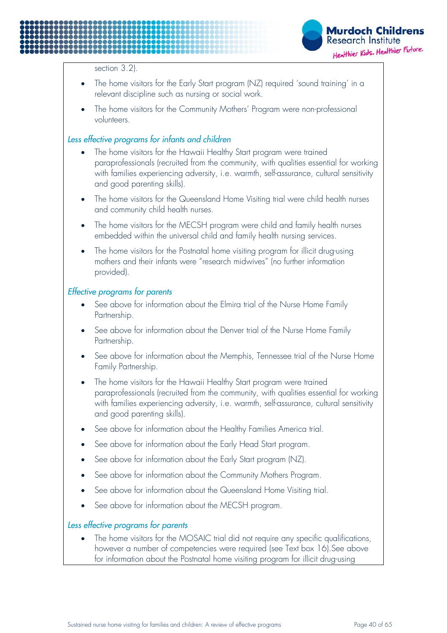

section 3.2).

- The home visitors for the Early Start program (NZ) required 'sound training' in a relevant discipline such as nursing or social work.
- The home visitors for the Community Mothers' Program were non-professional volunteers.

#### *Less effective programs for infants and children*

- The home visitors for the Hawaii Healthy Start program were trained paraprofessionals (recruited from the community, with qualities essential for working with families experiencing adversity, i.e. warmth, self-assurance, cultural sensitivity and good parenting skills).
- The home visitors for the Queensland Home Visiting trial were child health nurses and community child health nurses.
- The home visitors for the MECSH program were child and family health nurses embedded within the universal child and family health nursing services.
- The home visitors for the Postnatal home visiting program for illicit drug-using mothers and their infants were "research midwives" (no further information provided).

#### *Effective programs for parents*

- See above for information about the Elmira trial of the Nurse Home Family Partnership.
- See above for information about the Denver trial of the Nurse Home Family Partnership.
- See above for information about the Memphis, Tennessee trial of the Nurse Home Family Partnership.
- The home visitors for the Hawaii Healthy Start program were trained paraprofessionals (recruited from the community, with qualities essential for working with families experiencing adversity, i.e. warmth, self-assurance, cultural sensitivity and good parenting skills).
- See above for information about the Healthy Families America trial.
- See above for information about the Early Head Start program.
- See above for information about the Early Start program (NZ).
- See above for information about the Community Mothers Program.
- See above for information about the Queensland Home Visiting trial.
- See above for information about the MECSH program.

#### *Less effective programs for parents*

• The home visitors for the MOSAIC trial did not require any specific qualifications, however a number of competencies were required (see Text box 16).See above for information about the Postnatal home visiting program for illicit drug-using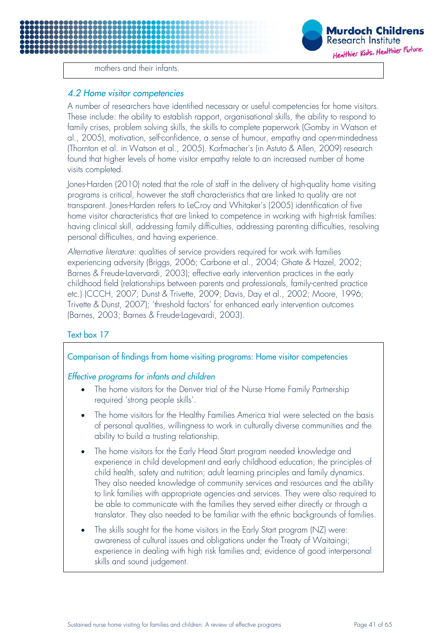

mothers and their infants.

#### <span id="page-45-0"></span>*4.2 Home visitor competencies*

A number of researchers have identified necessary or useful competencies for home visitors. These include: the ability to establish rapport, organisational skills, the ability to respond to family crises, problem solving skills, the skills to complete paperwork (Gomby in Watson et al., 2005), motivation, self-confidence, a sense of humour, empathy and open-mindedness (Thornton et al. in Watson et al., 2005). Korfmacher's (in Astuto & Allen, 2009) research found that higher levels of home visitor empathy relate to an increased number of home visits completed.

Jones-Harden (2010) noted that the role of staff in the delivery of high-quality home visiting programs is critical, however the staff characteristics that are linked to quality are not transparent. Jones-Harden refers to LeCroy and Whitaker's (2005) identification of five home visitor characteristics that are linked to competence in working with high-risk families: having clinical skill, addressing family difficulties, addressing parenting difficulties, resolving personal difficulties, and having experience.

*Alternative literature*: qualities of service providers required for work with families experiencing adversity (Briggs, 2006; Carbone et al., 2004; Ghate & Hazel, 2002; Barnes & Freude-Lavervardi, 2003); effective early intervention practices in the early childhood field (relationships between parents and professionals, family-centred practice etc.) (CCCH, 2007; Dunst & Trivette, 2009; Davis, Day et al., 2002; Moore, 1996; Trivette & Dunst, 2007); 'threshold factors' for enhanced early intervention outcomes (Barnes, 2003; Barnes & Freude-Lagevardi, 2003).

#### Text box 17

Comparison of findings from home visiting programs: Home visitor competencies

#### *Effective programs for infants and children*

- The home visitors for the Denver trial of the Nurse Home Family Partnership required 'strong people skills'.
- The home visitors for the Healthy Families America trial were selected on the basis of personal qualities, willingness to work in culturally diverse communities and the ability to build a trusting relationship.
- The home visitors for the Early Head Start program needed knowledge and experience in child development and early childhood education; the principles of child health, safety and nutrition; adult learning principles and family dynamics. They also needed knowledge of community services and resources and the ability to link families with appropriate agencies and services. They were also required to be able to communicate with the families they served either directly or through a translator. They also needed to be familiar with the ethnic backgrounds of families.
- The skills sought for the home visitors in the Early Start program (NZ) were: awareness of cultural issues and obligations under the Treaty of Waitaingi; experience in dealing with high risk families and; evidence of good interpersonal skills and sound judgement.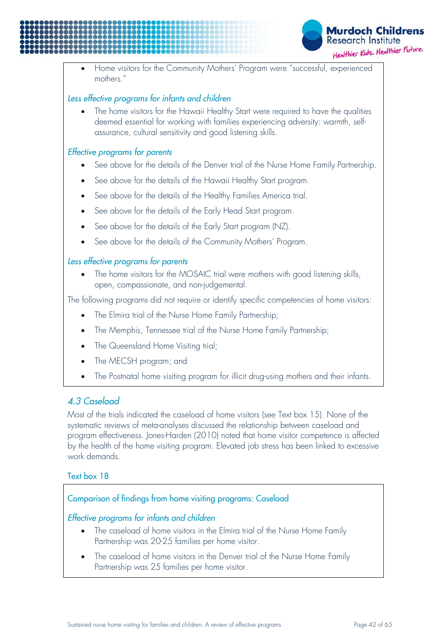

 Home visitors for the Community Mothers' Program were "successful, experienced mothers."

#### *Less effective programs for infants and children*

 The home visitors for the Hawaii Healthy Start were required to have the qualities deemed essential for working with families experiencing adversity: warmth, selfassurance, cultural sensitivity and good listening skills.

#### *Effective programs for parents*

- See above for the details of the Denver trial of the Nurse Home Family Partnership.
- See above for the details of the Hawaii Healthy Start program.
- See above for the details of the Healthy Families America trial.
- See above for the details of the Early Head Start program.
- See above for the details of the Early Start program (NZ).
- See above for the details of the Community Mothers' Program.

#### *Less effective programs for parents*

• The home visitors for the MOSAIC trial were mothers with good listening skills, open, compassionate, and non-judgemental.

The following programs did not require or identify specific competencies of home visitors:

- The Elmira trial of the Nurse Home Family Partnership;
- The Memphis, Tennessee trial of the Nurse Home Family Partnership;
- The Queensland Home Visiting trial;
- The MECSH program; and
- The Postnatal home visiting program for illicit drug-using mothers and their infants.

### <span id="page-46-0"></span>*4.3 Caseload*

Most of the trials indicated the caseload of home visitors (see Text box 15). None of the systematic reviews of meta-analyses discussed the relationship between caseload and program effectiveness. Jones-Harden (2010) noted that home visitor competence is affected by the health of the home visiting program. Elevated job stress has been linked to excessive work demands.

#### Text box 18

#### Comparison of findings from home visiting programs: Caseload

#### *Effective programs for infants and children*

- The caseload of home visitors in the Elmira trial of the Nurse Home Family Partnership was 20-25 families per home visitor.
- The caseload of home visitors in the Denver trial of the Nurse Home Family Partnership was 25 families per home visitor.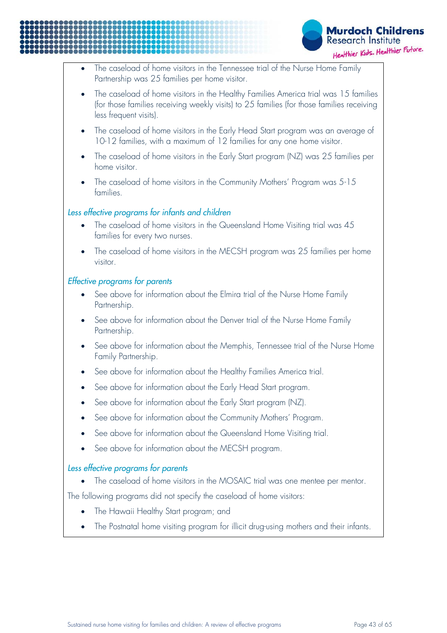

- The caseload of home visitors in the Tennessee trial of the Nurse Home Family Partnership was 25 families per home visitor.
- The caseload of home visitors in the Healthy Families America trial was 15 families (for those families receiving weekly visits) to 25 families (for those families receiving less frequent visits).
- The caseload of home visitors in the Early Head Start program was an average of 10-12 families, with a maximum of 12 families for any one home visitor.
- The caseload of home visitors in the Early Start program (NZ) was 25 families per home visitor.
- The caseload of home visitors in the Community Mothers' Program was 5-15 families.

#### *Less effective programs for infants and children*

- The caseload of home visitors in the Queensland Home Visiting trial was 45 families for every two nurses.
- The caseload of home visitors in the MECSH program was 25 families per home visitor.

#### *Effective programs for parents*

- See above for information about the Elmira trial of the Nurse Home Family Partnership.
- See above for information about the Denver trial of the Nurse Home Family Partnership.
- See above for information about the Memphis, Tennessee trial of the Nurse Home Family Partnership.
- See above for information about the Healthy Families America trial.
- See above for information about the Early Head Start program.
- See above for information about the Early Start program (NZ).
- See above for information about the Community Mothers' Program.
- See above for information about the Queensland Home Visiting trial.
- See above for information about the MECSH program.

#### *Less effective programs for parents*

The caseload of home visitors in the MOSAIC trial was one mentee per mentor.

The following programs did not specify the caseload of home visitors:

- The Hawaii Healthy Start program; and
- <span id="page-47-0"></span>The Postnatal home visiting program for illicit drug-using mothers and their infants.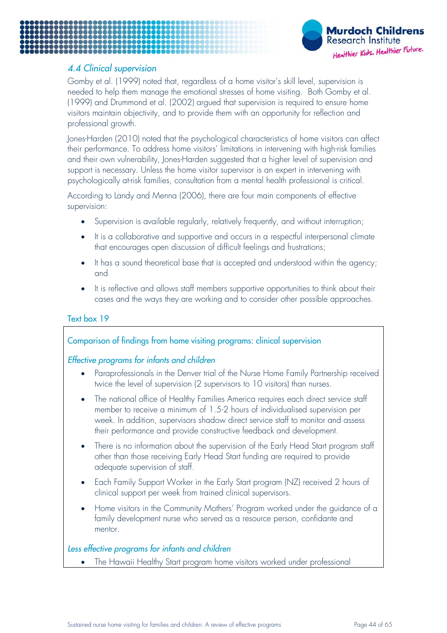



#### *4.4 Clinical supervision*

Gomby et al. (1999) noted that, regardless of a home visitor's skill level, supervision is needed to help them manage the emotional stresses of home visiting. Both Gomby et al. (1999) and Drummond et al. (2002) argued that supervision is required to ensure home visitors maintain objectivity, and to provide them with an opportunity for reflection and professional growth.

Jones-Harden (2010) noted that the psychological characteristics of home visitors can affect their performance. To address home visitors' limitations in intervening with high-risk families and their own vulnerability, Jones-Harden suggested that a higher level of supervision and support is necessary. Unless the home visitor supervisor is an expert in intervening with psychologically at-risk families, consultation from a mental health professional is critical.

According to Landy and Menna (2006), there are four main components of effective supervision:

- Supervision is available regularly, relatively frequently, and without interruption;
- It is a collaborative and supportive and occurs in a respectful interpersonal climate that encourages open discussion of difficult feelings and frustrations;
- It has a sound theoretical base that is accepted and understood within the agency; and
- It is reflective and allows staff members supportive opportunities to think about their cases and the ways they are working and to consider other possible approaches.

#### Text box 19

#### Comparison of findings from home visiting programs: clinical supervision

#### *Effective programs for infants and children*

- Paraprofessionals in the Denver trial of the Nurse Home Family Partnership received twice the level of supervision (2 supervisors to 10 visitors) than nurses.
- The national office of Healthy Families America requires each direct service staff member to receive a minimum of 1.5-2 hours of individualised supervision per week. In addition, supervisors shadow direct service staff to monitor and assess their performance and provide constructive feedback and development.
- There is no information about the supervision of the Early Head Start program staff other than those receiving Early Head Start funding are required to provide adequate supervision of staff.
- Each Family Support Worker in the Early Start program (NZ) received 2 hours of clinical support per week from trained clinical supervisors.
- Home visitors in the Community Mothers' Program worked under the guidance of a family development nurse who served as a resource person, confidante and mentor.

#### *Less effective programs for infants and children*

• The Hawaii Healthy Start program home visitors worked under professional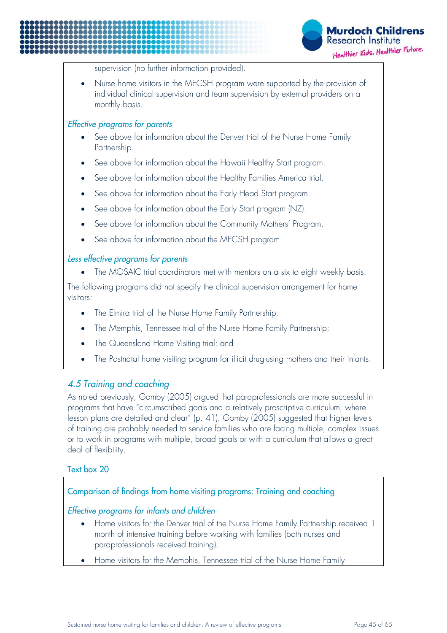# **Murdoch Childrens** Research Institute Healthier Kids. Healthier Fotore.

supervision (no further information provided).

 Nurse home visitors in the MECSH program were supported by the provision of individual clinical supervision and team supervision by external providers on a monthly basis.

#### *Effective programs for parents*

- See above for information about the Denver trial of the Nurse Home Family Partnership.
- See above for information about the Hawaii Healthy Start program.
- See above for information about the Healthy Families America trial.
- See above for information about the Early Head Start program.
- See above for information about the Early Start program (NZ).
- See above for information about the Community Mothers' Program.
- See above for information about the MECSH program.

#### *Less effective programs for parents*

The MOSAIC trial coordinators met with mentors on a six to eight weekly basis.

The following programs did not specify the clinical supervision arrangement for home visitors:

- The Elmira trial of the Nurse Home Family Partnership;
- The Memphis, Tennessee trial of the Nurse Home Family Partnership;
- The Queensland Home Visiting trial; and
- The Postnatal home visiting program for illicit drug-using mothers and their infants.

### <span id="page-49-0"></span>*4.5 Training and coaching*

As noted previously, Gomby (2005) argued that paraprofessionals are more successful in programs that have "circumscribed goals and a relatively proscriptive curriculum, where lesson plans are detailed and clear" (p. 41). Gomby (2005) suggested that higher levels of training are probably needed to service families who are facing multiple, complex issues or to work in programs with multiple, broad goals or with a curriculum that allows a great deal of flexibility.

#### Text box 20

#### Comparison of findings from home visiting programs: Training and coaching

#### *Effective programs for infants and children*

- Home visitors for the Denver trial of the Nurse Home Family Partnership received 1 month of intensive training before working with families (both nurses and paraprofessionals received training).
- Home visitors for the Memphis, Tennessee trial of the Nurse Home Family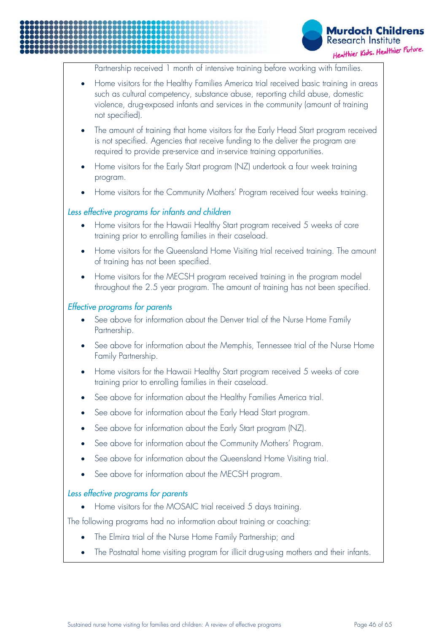

Partnership received 1 month of intensive training before working with families.

- Home visitors for the Healthy Families America trial received basic training in areas such as cultural competency, substance abuse, reporting child abuse, domestic violence, drug-exposed infants and services in the community (amount of training not specified).
- The amount of training that home visitors for the Early Head Start program received is not specified. Agencies that receive funding to the deliver the program are required to provide pre-service and in-service training opportunities.
- Home visitors for the Early Start program (NZ) undertook a four week training program.
- Home visitors for the Community Mothers' Program received four weeks training.

#### *Less effective programs for infants and children*

- Home visitors for the Hawaii Healthy Start program received 5 weeks of core training prior to enrolling families in their caseload.
- Home visitors for the Queensland Home Visiting trial received training. The amount of training has not been specified.
- Home visitors for the MECSH program received training in the program model throughout the 2.5 year program. The amount of training has not been specified.

#### *Effective programs for parents*

- See above for information about the Denver trial of the Nurse Home Family Partnership.
- See above for information about the Memphis, Tennessee trial of the Nurse Home Family Partnership.
- Home visitors for the Hawaii Healthy Start program received 5 weeks of core training prior to enrolling families in their caseload.
- See above for information about the Healthy Families America trial.
- See above for information about the Early Head Start program.
- See above for information about the Early Start program (NZ).
- See above for information about the Community Mothers' Program.
- See above for information about the Queensland Home Visiting trial.
- See above for information about the MECSH program.

#### *Less effective programs for parents*

Home visitors for the MOSAIC trial received 5 days training.

The following programs had no information about training or coaching:

- The Elmira trial of the Nurse Home Family Partnership; and
- The Postnatal home visiting program for illicit drug-using mothers and their infants.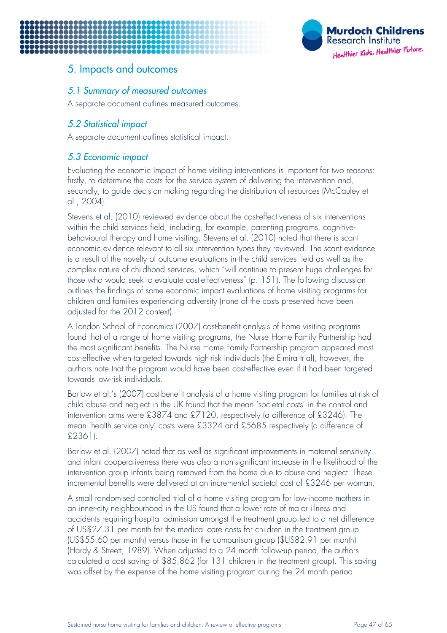



# <span id="page-51-0"></span>5. Impacts and outcomes

#### <span id="page-51-1"></span>*5.1 Summary of measured outcomes*

A separate document outlines measured outcomes.

## <span id="page-51-2"></span>*5.2 Statistical impact*

A separate document outlines statistical impact.

#### <span id="page-51-3"></span>*5.3 Economic impact*

Evaluating the economic impact of home visiting interventions is important for two reasons: firstly, to determine the costs for the service system of delivering the intervention and, secondly, to guide decision making regarding the distribution of resources (McCauley et al., 2004).

Stevens et al. (2010) reviewed evidence about the cost-effectiveness of six interventions within the child services field, including, for example, parenting programs, cognitivebehavioural therapy and home visiting. Stevens et al. (2010) noted that there is scant economic evidence relevant to all six intervention types they reviewed. The scant evidence is a result of the novelty of outcome evaluations in the child services field as well as the complex nature of childhood services, which "will continue to present huge challenges for those who would seek to evaluate cost-effectiveness" (p. 151). The following discussion outlines the findings of some economic impact evaluations of home visiting programs for children and families experiencing adversity (none of the costs presented have been adjusted for the 2012 context).

A London School of Economics (2007) cost-benefit analysis of home visiting programs found that of a range of home visiting programs, the Nurse Home Family Partnership had the most significant benefits. The Nurse Home Family Partnership program appeared most cost-effective when targeted towards high-risk individuals (the Elmira trial), however, the authors note that the program would have been cost-effective even if it had been targeted towards low-risk individuals.

Barlow et al.'s (2007) cost-benefit analysis of a home visiting program for families at risk of child abuse and neglect in the UK found that the mean 'societal costs' in the control and intervention arms were £3874 and £7120, respectively (a difference of £3246). The mean 'health service only' costs were £3324 and £5685 respectively (a difference of £2361).

Barlow et al. (2007) noted that as well as significant improvements in maternal sensitivity and infant cooperativeness there was also a non-significant increase in the likelihood of the intervention group infants being removed from the home due to abuse and neglect. These incremental benefits were delivered at an incremental societal cost of £3246 per woman.

A small randomised controlled trial of a home visiting program for low-income mothers in an inner-city neighbourhood in the US found that a lower rate of major illness and accidents requiring hospital admission amongst the treatment group led to a net difference of US\$27.31 per month for the medical care costs for children in the treatment group (US\$55.60 per month) versus those in the comparison group (\$US82.91 per month) (Hardy & Streett, 1989). When adjusted to a 24 month follow-up period, the authors calculated a cost saving of \$85,862 (for 131 children in the treatment group). This saving was offset by the expense of the home visiting program during the 24 month period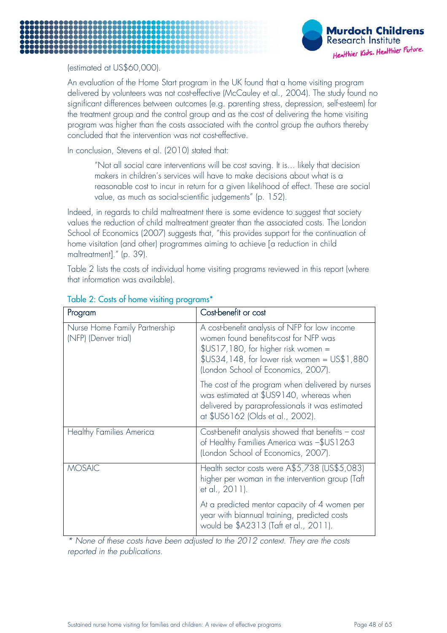



(estimated at US\$60,000).

An evaluation of the Home Start program in the UK found that a home visiting program delivered by volunteers was not cost-effective (McCauley et al., 2004). The study found no significant differences between outcomes (e.g. parenting stress, depression, self-esteem) for the treatment group and the control group and as the cost of delivering the home visiting program was higher than the costs associated with the control group the authors thereby concluded that the intervention was not cost-effective.

In conclusion, Stevens et al. (2010) stated that:

"Not all social care interventions will be cost saving. It is... likely that decision makers in children's services will have to make decisions about what is a reasonable cost to incur in return for a given likelihood of effect. These are social value, as much as social-scientific judgements" (p. 152).

Indeed, in regards to child maltreatment there is some evidence to suggest that society values the reduction of child maltreatment greater than the associated costs. The London School of Economics (2007) suggests that, "this provides support for the continuation of home visitation (and other) programmes aiming to achieve [a reduction in child maltreatment]." (p. 39).

Table 2 lists the costs of individual home visiting programs reviewed in this report (where that information was available).

| Program                                               | Cost-benefit or cost                                                                                                                                                                                                   |
|-------------------------------------------------------|------------------------------------------------------------------------------------------------------------------------------------------------------------------------------------------------------------------------|
| Nurse Home Family Partnership<br>(NFP) (Denver trial) | A cost-benefit analysis of NFP for low income<br>women found benefits-cost for NFP was<br>$$US17,180,$ for higher risk women =<br>$$US34,148,$ for lower risk women = US\$1,880<br>(London School of Economics, 2007). |
|                                                       | The cost of the program when delivered by nurses<br>was estimated at \$US9140, whereas when<br>delivered by paraprofessionals it was estimated<br>at \$US6162 (Olds et al., 2002).                                     |
| <b>Healthy Families America</b>                       | Cost-benefit analysis showed that benefits $-$ cost<br>of Healthy Families America was -\$US1263<br>(London School of Economics, 2007).                                                                                |
| <b>MOSAIC</b>                                         | Health sector costs were A\$5,738 (US\$5,083)<br>higher per woman in the intervention group (Taft<br>et al., 2011).                                                                                                    |
|                                                       | At a predicted mentor capacity of 4 women per<br>year with biannual training, predicted costs<br>would be \$A2313 (Taft et al., 2011).                                                                                 |

#### Table 2: Costs of home visiting programs\*

<span id="page-52-0"></span>*\* None of these costs have been adjusted to the 2012 context. They are the costs reported in the publications.*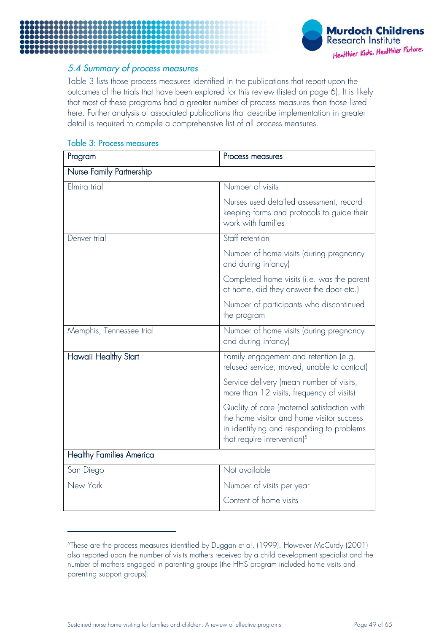

### *5.4 Summary of process measures*

Table 3 lists those process measures identified in the publications that report upon the outcomes of the trials that have been explored for this review (listed on page 6). It is likely that most of these programs had a greater number of process measures than those listed here. Further analysis of associated publications that describe implementation in greater detail is required to compile a comprehensive list of all process measures.

#### Table 3: Process measures

 $\overline{a}$ 

| Program                         | Process measures                                                                                                                                                                 |  |
|---------------------------------|----------------------------------------------------------------------------------------------------------------------------------------------------------------------------------|--|
| Nurse Family Partnership        |                                                                                                                                                                                  |  |
| Elmira trial                    | Number of visits                                                                                                                                                                 |  |
|                                 | Nurses used detailed assessment, record-<br>keeping forms and protocols to guide their<br>work with families                                                                     |  |
| Denver trial                    | Staff retention                                                                                                                                                                  |  |
|                                 | Number of home visits (during pregnancy<br>and during infancy)                                                                                                                   |  |
|                                 | Completed home visits (i.e. was the parent<br>at home, did they answer the door etc.)                                                                                            |  |
|                                 | Number of participants who discontinued<br>the program                                                                                                                           |  |
| Memphis, Tennessee trial        | Number of home visits (during pregnancy<br>and during infancy)                                                                                                                   |  |
| Hawaii Healthy Start            | Family engagement and retention (e.g.<br>refused service, moved, unable to contact)                                                                                              |  |
|                                 | Service delivery (mean number of visits,<br>more than 12 visits, frequency of visits)                                                                                            |  |
|                                 | Quality of care (maternal satisfaction with<br>the home visitor and home visitor success<br>in identifying and responding to problems<br>that require intervention) <sup>5</sup> |  |
| <b>Healthy Families America</b> |                                                                                                                                                                                  |  |
| San Diego                       | Not available                                                                                                                                                                    |  |
| New York                        | Number of visits per year                                                                                                                                                        |  |
|                                 | Content of home visits                                                                                                                                                           |  |

<sup>5</sup> These are the process measures identified by Duggan et al. (1999). However McCurdy (2001) also reported upon the number of visits mothers received by a child development specialist and the number of mothers engaged in parenting groups (the HHS program included home visits and parenting support groups).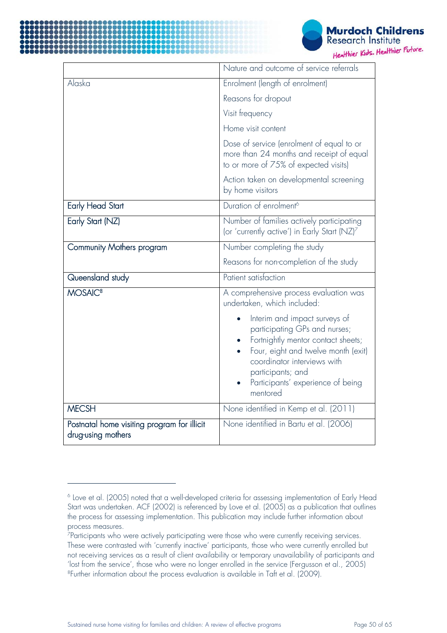



 $\overline{a}$ 

 $^{\circ}$  Love et al. (2005) noted that a well-developed criteria for assessing implementation of Early Head Start was undertaken. ACF (2002) is referenced by Love et al. (2005) as a publication that outlines the process for assessing implementation. This publication may include further information about process measures.

<sup>7</sup>Participants who were actively participating were those who were currently receiving services. These were contrasted with 'currently inactive' participants, those who were currently enrolled but not receiving services as a result of client availability or temporary unavailability of participants and 'lost from the service', those who were no longer enrolled in the service (Fergusson et al., 2005) 8 Further information about the process evaluation is available in Taft et al. (2009).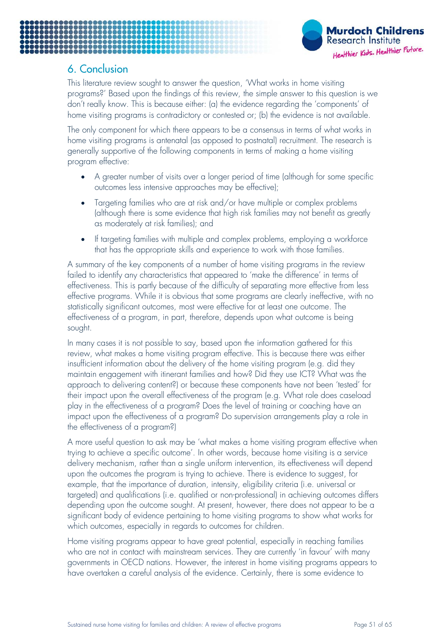



# <span id="page-55-0"></span>6. Conclusion

This literature review sought to answer the question, 'What works in home visiting programs?' Based upon the findings of this review, the simple answer to this question is we don't really know. This is because either: (a) the evidence regarding the 'components' of home visiting programs is contradictory or contested or; (b) the evidence is not available.

The only component for which there appears to be a consensus in terms of what works in home visiting programs is antenatal (as opposed to postnatal) recruitment. The research is generally supportive of the following components in terms of making a home visiting program effective:

- A greater number of visits over a longer period of time (although for some specific outcomes less intensive approaches may be effective);
- Targeting families who are at risk and/or have multiple or complex problems (although there is some evidence that high risk families may not benefit as greatly as moderately at risk families); and
- If targeting families with multiple and complex problems, employing a workforce that has the appropriate skills and experience to work with those families.

A summary of the key components of a number of home visiting programs in the review failed to identify any characteristics that appeared to 'make the difference' in terms of effectiveness. This is partly because of the difficulty of separating more effective from less effective programs. While it is obvious that some programs are clearly ineffective, with no statistically significant outcomes, most were effective for at least one outcome. The effectiveness of a program, in part, therefore, depends upon what outcome is being sought.

In many cases it is not possible to say, based upon the information gathered for this review, what makes a home visiting program effective. This is because there was either insufficient information about the delivery of the home visiting program (e.g. did they maintain engagement with itinerant families and how? Did they use ICT? What was the approach to delivering content?) or because these components have not been 'tested' for their impact upon the overall effectiveness of the program (e.g. What role does caseload play in the effectiveness of a program? Does the level of training or coaching have an impact upon the effectiveness of a program? Do supervision arrangements play a role in the effectiveness of a program?)

A more useful question to ask may be 'what makes a home visiting program effective when trying to achieve a specific outcome'. In other words, because home visiting is a service delivery mechanism, rather than a single uniform intervention, its effectiveness will depend upon the outcomes the program is trying to achieve. There is evidence to suggest, for example, that the importance of duration, intensity, eligibility criteria (i.e. universal or targeted) and qualifications (i.e. qualified or non-professional) in achieving outcomes differs depending upon the outcome sought. At present, however, there does not appear to be a significant body of evidence pertaining to home visiting programs to show what works for which outcomes, especially in regards to outcomes for children.

Home visiting programs appear to have great potential, especially in reaching families who are not in contact with mainstream services. They are currently 'in favour' with many governments in OECD nations. However, the interest in home visiting programs appears to have overtaken a careful analysis of the evidence. Certainly, there is some evidence to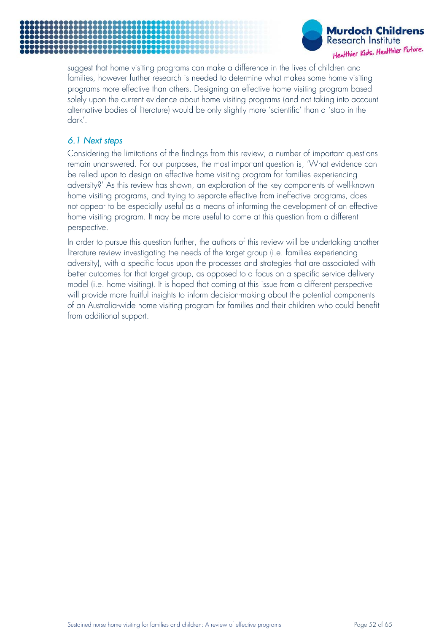



suggest that home visiting programs can make a difference in the lives of children and families, however further research is needed to determine what makes some home visiting programs more effective than others. Designing an effective home visiting program based solely upon the current evidence about home visiting programs (and not taking into account alternative bodies of literature) would be only slightly more 'scientific' than a 'stab in the dark'.

#### <span id="page-56-0"></span>*6.1 Next steps*

Considering the limitations of the findings from this review, a number of important questions remain unanswered. For our purposes, the most important question is, 'What evidence can be relied upon to design an effective home visiting program for families experiencing adversity?' As this review has shown, an exploration of the key components of well-known home visiting programs, and trying to separate effective from ineffective programs, does not appear to be especially useful as a means of informing the development of an effective home visiting program. It may be more useful to come at this question from a different perspective.

In order to pursue this question further, the authors of this review will be undertaking another literature review investigating the needs of the target group (i.e. families experiencing adversity), with a specific focus upon the processes and strategies that are associated with better outcomes for that target group, as opposed to a focus on a specific service delivery model (i.e. home visiting). It is hoped that coming at this issue from a different perspective will provide more fruitful insights to inform decision-making about the potential components of an Australia-wide home visiting program for families and their children who could benefit from additional support.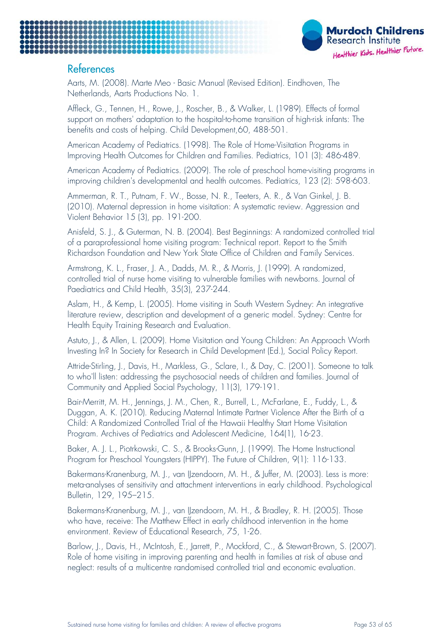



### <span id="page-57-0"></span>References

Aarts, M. (2008). Marte Meo - Basic Manual (Revised Edition). Eindhoven, The Netherlands, Aarts Productions No. 1.

Affleck, G., Tennen, H., Rowe, J., Roscher, B., & Walker, L. (1989). Effects of formal support on mothers' adaptation to the hospital-to-home transition of high-risk infants: The benefits and costs of helping. Child Development,60, 488-501.

American Academy of Pediatrics. (1998). The Role of Home-Visitation Programs in Improving Health Outcomes for Children and Families. Pediatrics, 101 (3): 486-489.

American Academy of Pediatrics. (2009). The role of preschool home-visiting programs in improving children's developmental and health outcomes. Pediatrics, 123 (2): 598-603.

Ammerman, R. T., Putnam, F. W., Bosse, N. R., Teeters, A. R., & Van Ginkel, J. B. (2010). Maternal depression in home visitation: A systematic review. Aggression and Violent Behavior 15 (3), pp. 191-200.

Anisfeld, S. J., & Guterman, N. B. (2004). Best Beginnings: A randomized controlled trial of a paraprofessional home visiting program: Technical report. Report to the Smith Richardson Foundation and New York State Office of Children and Family Services.

Armstrong, K. L., Fraser, J. A., Dadds, M. R., & Morris, J. (1999). A randomized, controlled trial of nurse home visiting to vulnerable families with newborns. Journal of Paediatrics and Child Health, 35(3), 237-244.

Aslam, H., & Kemp, L. (2005). Home visiting in South Western Sydney: An integrative literature review, description and development of a generic model. Sydney: Centre for Health Equity Training Research and Evaluation.

Astuto, J., & Allen, L. (2009). Home Visitation and Young Children: An Approach Worth Investing In? In Society for Research in Child Development (Ed.), Social Policy Report.

Attride-Stirling, J., Davis, H., Markless, G., Sclare, I., & Day, C. (2001). Someone to talk to who'll listen: addressing the psychosocial needs of children and families. Journal of Community and Applied Social Psychology, 11(3), 179-191.

Bair-Merritt, M. H., Jennings, J. M., Chen, R., Burrell, L., McFarlane, E., Fuddy, L., & Duggan, A. K. (2010). Reducing Maternal Intimate Partner Violence After the Birth of a Child: A Randomized Controlled Trial of the Hawaii Healthy Start Home Visitation Program. Archives of Pediatrics and Adolescent Medicine, 164(1), 16-23.

Baker, A. J. L., Piotrkowski, C. S., & Brooks-Gunn, J. (1999). The Home Instructional Program for Preschool Youngsters (HIPPY). The Future of Children, 9(1): 116-133.

Bakermans-Kranenburg, M. J., van IJzendoorn, M. H., & Juffer, M. (2003). Less is more: meta-analyses of sensitivity and attachment interventions in early childhood. Psychological Bulletin, 129, 195–215.

Bakermans-Kranenburg, M. J., van IJzendoorn, M. H., & Bradley, R. H. (2005). Those who have, receive: The Matthew Effect in early childhood intervention in the home environment. Review of Educational Research, 75, 1-26.

Barlow, J., Davis, H., McIntosh, E., Jarrett, P., Mockford, C., & Stewart-Brown, S. (2007). Role of home visiting in improving parenting and health in families at risk of abuse and neglect: results of a multicentre randomised controlled trial and economic evaluation.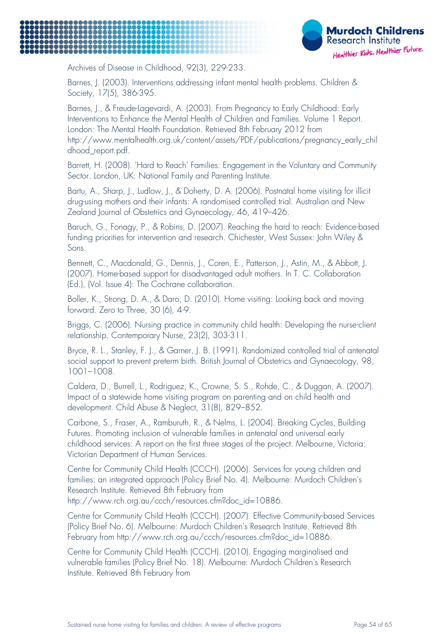



Archives of Disease in Childhood, 92(3), 229-233.

Barnes, J. (2003). Interventions addressing infant mental health problems. Children & Society, 17(5), 386-395.

Barnes, J., & Freude-Lagevardi, A. (2003). From Pregnancy to Early Childhood: Early Interventions to Enhance the Mental Health of Children and Families. Volume 1 Report. London: The Mental Health Foundation. Retrieved 8th February 2012 from http://www.mentalhealth.org.uk/content/assets/PDF/publications/pregnancy\_early\_chil dhood\_report.pdf.

Barrett, H. (2008). 'Hard to Reach' Families: Engagement in the Voluntary and Community Sector. London, UK: National Family and Parenting Institute.

Bartu, A., Sharp, J., Ludlow, J., & Doherty, D. A. (2006). Postnatal home visiting for illicit drug-using mothers and their infants: A randomised controlled trial. Australian and New Zealand Journal of Obstetrics and Gynaecology, 46, 419–426.

Baruch, G., Fonagy, P., & Robins, D. (2007). Reaching the hard to reach: Evidence-based funding priorities for intervention and research. Chichester, West Sussex: John Wiley & Sons.

Bennett, C., Macdonald, G., Dennis, J., Coren, E., Patterson, J., Astin, M., & Abbott, J. (2007). Home-based support for disadvantaged adult mothers. In T. C. Collaboration (Ed.), (Vol. Issue 4): The Cochrane collaboration.

Boller, K., Strong, D. A., & Daro, D. (2010). Home visiting: Looking back and moving forward. Zero to Three, 30 (6), 4-9.

Briggs, C. (2006). Nursing practice in community child health: Developing the nurse-client relationship. Contemporary Nurse, 23(2), 303-311.

Bryce, R. L., Stanley, F. J., & Garner, J. B. (1991). Randomized controlled trial of antenatal social support to prevent preterm birth. British Journal of Obstetrics and Gynaecology, 98, 1001–1008.

Caldera, D., Burrell, L., Rodriguez, K., Crowne, S. S., Rohde, C., & Duggan, A. (2007). Impact of a statewide home visiting program on parenting and on child health and development. Child Abuse & Neglect, 31(8), 829–852.

Carbone, S., Fraser, A., Ramburuth, R., & Nelms, L. (2004). Breaking Cycles, Building Futures. Promoting inclusion of vulnerable families in antenatal and universal early childhood services: A report on the first three stages of the project. Melbourne, Victoria: Victorian Department of Human Services.

Centre for Community Child Health (CCCH). (2006). Services for young children and families: an integrated approach (Policy Brief No. 4). Melbourne: Murdoch Children's Research Institute. Retrieved 8th February from

http://www.rch.org.au/ccch/resources.cfm?doc\_id=10886.

Centre for Community Child Health (CCCH). (2007). Effective Community-based Services (Policy Brief No. 6). Melbourne: Murdoch Children's Research Institute. Retrieved 8th February from http://www.rch.org.au/ccch/resources.cfm?doc\_id=10886.

Centre for Community Child Health (CCCH). (2010). Engaging marginalised and vulnerable families (Policy Brief No. 18). Melbourne: Murdoch Children's Research Institute. Retrieved 8th February from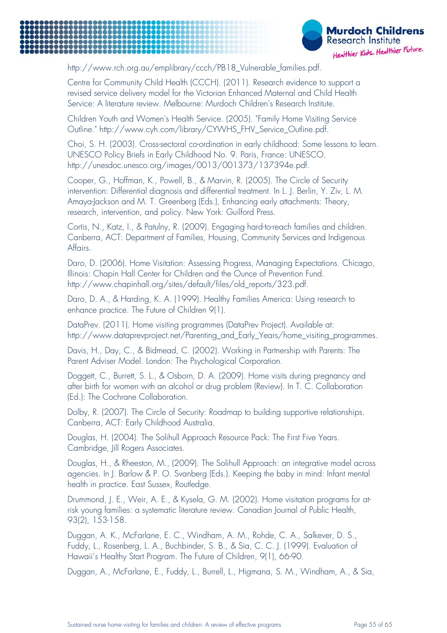



http://www.rch.org.au/emplibrary/ccch/PB18\_Vulnerable\_families.pdf.

Centre for Community Child Health (CCCH). (2011). Research evidence to support a revised service delivery model for the Victorian Enhanced Maternal and Child Health Service: A literature review. Melbourne: Murdoch Children's Research Institute.

Children Youth and Women's Health Service. (2005). "Family Home Visiting Service Outline." http://www.cyh.com/library/CYWHS\_FHV\_Service\_Outline.pdf.

Choi, S. H. (2003). Cross-sectoral co-ordination in early childhood: Some lessons to learn. UNESCO Policy Briefs in Early Childhood No. 9. Paris, France: UNESCO. http://unesdoc.unesco.org/images/0013/001373/137394e.pdf.

Cooper, G., Hoffman, K., Powell, B., & Marvin, R. (2005). The Circle of Security intervention: Differential diagnosis and differential treatment. In L. J. Berlin, Y. Ziv, L. M. Amaya-Jackson and M. T. Greenberg (Eds.), Enhancing early attachments: Theory, research, intervention, and policy. New York: Guilford Press.

Cortis, N., Katz, I., & Patulny, R. (2009). Engaging hard-to-reach families and children. Canberra, ACT: Department of Families, Housing, Community Services and Indigenous Affairs.

Daro, D. (2006). Home Visitation: Assessing Progress, Managing Expectations. Chicago, Illinois: Chapin Hall Center for Children and the Ounce of Prevention Fund. http://www.chapinhall.org/sites/default/files/old\_reports/323.pdf.

Daro, D. A., & Harding, K. A. (1999). Healthy Families America: Using research to enhance practice. The Future of Children 9(1).

DataPrev. (2011). Home visiting programmes (DataPrev Project). Available at: http://www.dataprevproject.net/Parenting\_and\_Early\_Years/home\_visiting\_programmes.

Davis, H., Day, C., & Bidmead, C. (2002). Working in Partnership with Parents: The Parent Adviser Model. London: The Psychological Corporation.

Doggett, C., Burrett, S. L., & Osborn, D. A. (2009). Home visits during pregnancy and after birth for women with an alcohol or drug problem (Review). In T. C. Collaboration (Ed.): The Cochrane Collaboration.

Dolby, R. (2007). The Circle of Security: Roadmap to building supportive relationships. Canberra, ACT: Early Childhood Australia.

Douglas, H. (2004). The Solihull Approach Resource Pack: The First Five Years. Cambridge, Jill Rogers Associates.

Douglas, H., & Rheeston, M., (2009). The Solihull Approach: an integrative model across agencies. In J. Barlow & P. O. Svanberg (Eds.). Keeping the baby in mind: Infant mental health in practice. East Sussex, Routledge.

Drummond, J. E., Weir, A. E., & Kysela, G. M. (2002). Home visitation programs for atrisk young families: a systematic literature review. Canadian Journal of Public Health, 93(2), 153-158.

Duggan, A. K., McFarlane, E. C., Windham, A. M., Rohde, C. A., Salkever, D. S., Fuddy, L., Rosenberg, L. A., Buchbinder, S. B., & Sia, C. C. J. (1999). Evaluation of Hawaii's Healthy Start Program. The Future of Children, 9(1), 66-90.

Duggan, A., McFarlane, E., Fuddy, L., Burrell, L., Higmana, S. M., Windham, A., & Sia,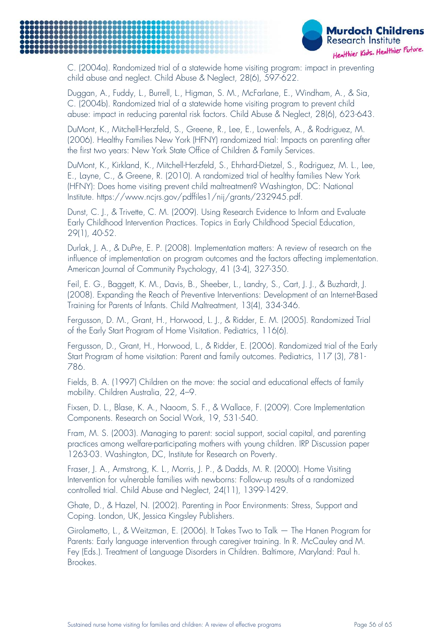



C. (2004a). Randomized trial of a statewide home visiting program: impact in preventing child abuse and neglect. Child Abuse & Neglect, 28(6), 597-622.

Duggan, A., Fuddy, L., Burrell, L., Higman, S. M., McFarlane, E., Windham, A., & Sia, C. (2004b). Randomized trial of a statewide home visiting program to prevent child abuse: impact in reducing parental risk factors. Child Abuse & Neglect, 28(6), 623-643.

DuMont, K., Mitchell-Herzfeld, S., Greene, R., Lee, E., Lowenfels, A., & Rodriguez, M. (2006). Healthy Families New York (HFNY) randomized trial: Impacts on parenting after the first two years: New York State Office of Children & Family Services.

DuMont, K., Kirkland, K., Mitchell-Herzfeld, S., Ehrhard-Dietzel, S., Rodriguez, M. L., Lee, E., Layne, C., & Greene, R. (2010). A randomized trial of healthy families New York (HFNY): Does home visiting prevent child maltreatment? Washington, DC: National Institute. https://www.ncjrs.gov/pdffiles1/nij/grants/232945.pdf.

Dunst, C. J., & Trivette, C. M. (2009). Using Research Evidence to Inform and Evaluate Early Childhood Intervention Practices. Topics in Early Childhood Special Education, 29(1), 40-52.

Durlak, J. A., & DuPre, E. P. (2008). Implementation matters: A review of research on the influence of implementation on program outcomes and the factors affecting implementation. American Journal of Community Psychology, 41 (3-4), 327-350.

Feil, E. G., Baggett, K. M., Davis, B., Sheeber, L., Landry, S., Cart, J. J., & Buzhardt, J. (2008). Expanding the Reach of Preventive Interventions: Development of an Internet-Based Training for Parents of Infants. Child Maltreatment, 13(4), 334-346.

Fergusson, D. M., Grant, H., Horwood, L. J., & Ridder, E. M. (2005). Randomized Trial of the Early Start Program of Home Visitation. Pediatrics, 116(6).

Fergusson, D., Grant, H., Horwood, L., & Ridder, E. (2006). Randomized trial of the Early Start Program of home visitation: Parent and family outcomes. Pediatrics, 117 (3), 781- 786.

Fields, B. A. (1997) Children on the move: the social and educational effects of family mobility. Children Australia, 22, 4–9.

Fixsen, D. L., Blase, K. A., Naoom, S. F., & Wallace, F. (2009). Core Implementation Components. Research on Social Work, 19, 531-540.

Fram, M. S. (2003). Managing to parent: social support, social capital, and parenting practices among welfare-participating mothers with young children. IRP Discussion paper 1263-03. Washington, DC, Institute for Research on Poverty.

Fraser, J. A., Armstrong, K. L., Morris, J. P., & Dadds, M. R. (2000). Home Visiting Intervention for vulnerable families with newborns: Follow-up results of a randomized controlled trial. Child Abuse and Neglect, 24(11), 1399-1429.

Ghate, D., & Hazel, N. (2002). Parenting in Poor Environments: Stress, Support and Coping. London, UK, Jessica Kingsley Publishers.

Girolametto, L., & Weitzman, E. (2006). It Takes Two to Talk — The Hanen Program for Parents: Early language intervention through caregiver training. In R. McCauley and M. Fey (Eds.). Treatment of Language Disorders in Children. Baltimore, Maryland: Paul h. Brookes.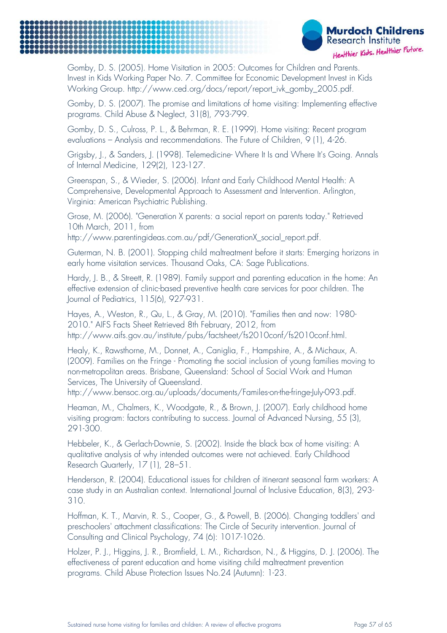



Gomby, D. S. (2005). Home Visitation in 2005: Outcomes for Children and Parents. Invest in Kids Working Paper No. 7. Committee for Economic Development Invest in Kids Working Group. http://www.ced.org/docs/report/report\_ivk\_gomby\_2005.pdf.

Gomby, D. S. (2007). The promise and limitations of home visiting: Implementing effective programs. Child Abuse & Neglect, 31(8), 793-799.

Gomby, D. S., Culross, P. L., & Behrman, R. E. (1999). Home visiting: Recent program evaluations – Analysis and recommendations. The Future of Children, 9 (1), 4-26.

Grigsby, J., & Sanders, J. (1998). Telemedicine- Where It Is and Where It's Going. Annals of Internal Medicine, 129(2), 123-127.

Greenspan, S., & Wieder, S. (2006). Infant and Early Childhood Mental Health: A Comprehensive, Developmental Approach to Assessment and Intervention. Arlington, Virginia: American Psychiatric Publishing.

Grose, M. (2006). "Generation X parents: a social report on parents today." Retrieved 10th March, 2011, from

http://www.parentingideas.com.au/pdf/GenerationX\_social\_report.pdf.

Guterman, N. B. (2001). Stopping child maltreatment before it starts: Emerging horizons in early home visitation services. Thousand Oaks, CA: Sage Publications.

Hardy, J. B., & Streett, R. (1989). Family support and parenting education in the home: An effective extension of clinic-based preventive health care services for poor children. The Journal of Pediatrics, 115(6), 927-931.

Hayes, A., Weston, R., Qu, L., & Gray, M. (2010). "Families then and now: 1980- 2010." AIFS Facts Sheet Retrieved 8th February, 2012, from http://www.aifs.gov.au/institute/pubs/factsheet/fs2010conf/fs2010conf.html.

Healy, K., Rawsthorne, M., Donnet, A., Caniglia, F., Hampshire, A., & Michaux, A. (2009). Families on the Fringe - Promoting the social inclusion of young families moving to non-metropolitan areas. Brisbane, Queensland: School of Social Work and Human Services, The University of Queensland.

http://www.bensoc.org.au/uploads/documents/Familes-on-the-fringe-July-093.pdf.

Heaman, M., Chalmers, K., Woodgate, R., & Brown, J. (2007). Early childhood home visiting program: factors contributing to success. Journal of Advanced Nursing, 55 (3), 291-300.

Hebbeler, K., & Gerlach-Downie, S. (2002). Inside the black box of home visiting: A qualitative analysis of why intended outcomes were not achieved. Early Childhood Research Quarterly, 17 (1), 28–51.

Henderson, R. (2004). Educational issues for children of itinerant seasonal farm workers: A case study in an Australian context. International Journal of Inclusive Education, 8(3), 293- 310.

Hoffman, K. T., Marvin, R. S., Cooper, G., & Powell, B. (2006). Changing toddlers' and preschoolers' attachment classifications: The Circle of Security intervention. Journal of Consulting and Clinical Psychology, 74 (6): 1017-1026.

Holzer, P. J., Higgins, J. R., Bromfield, L. M., Richardson, N., & Higgins, D. J. (2006). The effectiveness of parent education and home visiting child maltreatment prevention programs. Child Abuse Protection Issues No.24 (Autumn): 1-23.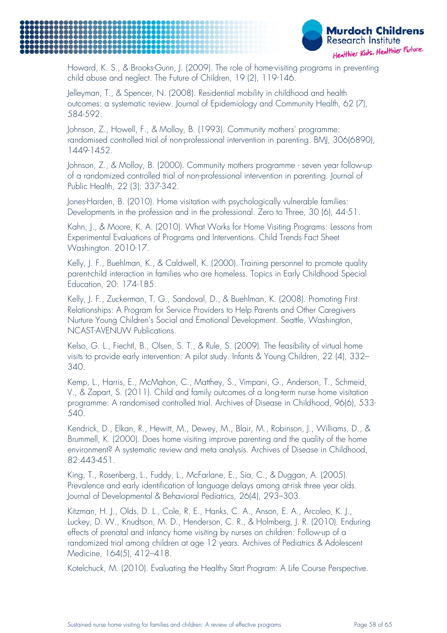



Howard, K. S., & Brooks-Gunn, J. (2009). The role of home-visiting programs in preventing child abuse and neglect. The Future of Children, 19 (2), 119-146.

Jelleyman, T., & Spencer, N. (2008). Residential mobility in childhood and health outcomes: a systematic review. Journal of Epidemiology and Community Health, 62 (7), 584-592.

Johnson, Z., Howell, F., & Molloy, B. (1993). Community mothers' programme: randomised controlled trial of non-professional intervention in parenting. BMJ, 306(6890), 1449-1452.

Johnson, Z., & Molloy, B. (2000). Community mothers programme - seven year follow-up of a randomized controlled trial of non-professional intervention in parenting. Journal of Public Health, 22 (3): 337-342.

Jones-Harden, B. (2010). Home visitation with psychologically vulnerable families: Developments in the profession and in the professional. Zero to Three, 30 (6), 44-51.

Kahn, J., & Moore, K. A. (2010). What Works for Home Visiting Programs: Lessons from Experimental Evaluations of Programs and Interventions. Child Trends Fact Sheet Washington. 2010-17.

Kelly, J. F., Buehlman, K., & Caldwell, K. (2000). Training personnel to promote quality parent-child interaction in families who are homeless. Topics in Early Childhood Special Education, 20: 174-185.

Kelly, J. F., Zuckerman, T. G., Sandoval, D., & Buehlman, K. (2008). Promoting First Relationships: A Program for Service Providers to Help Parents and Other Caregivers Nurture Young Children's Social and Emotional Development. Seattle, Washington, NCAST-AVENUW Publications.

Kelso, G. L., Fiechtl, B., Olsen, S. T., & Rule, S. (2009). The feasibility of virtual home visits to provide early intervention: A pilot study. Infants & Young Children, 22 (4), 332– 340.

Kemp, L., Harris, E., McMahon, C., Matthey, S., Vimpani, G., Anderson, T., Schmeid, V., & Zapart, S. (2011). Child and family outcomes of a long-term nurse home visitation programme: A randomised controlled trial. Archives of Disease in Childhood, 96(6), 533- 540.

Kendrick, D., Elkan, R., Hewitt, M., Dewey, M., Blair, M., Robinson, J., Williams, D., & Brummell, K. (2000). Does home visiting improve parenting and the quality of the home environment? A systematic review and meta analysis. Archives of Disease in Childhood, 82:443-451.

King, T., Rosenberg, L., Fuddy, L., McFarlane, E., Sia, C., & Duggan, A. (2005). Prevalence and early identification of language delays among at-risk three year olds. Journal of Developmental & Behavioral Pediatrics, 26(4), 293–303.

Kitzman, H. J., Olds, D. L., Cole, R. E., Hanks, C. A., Anson, E. A., Arcoleo, K. J., Luckey, D. W., Knudtson, M. D., Henderson, C. R., & Holmberg, J. R. (2010). Enduring effects of prenatal and infancy home visiting by nurses on children: Follow-up of a randomized trial among children at age 12 years. Archives of Pediatrics & Adolescent Medicine, 164(5), 412–418.

Kotelchuck, M. (2010). Evaluating the Healthy Start Program: A Life Course Perspective.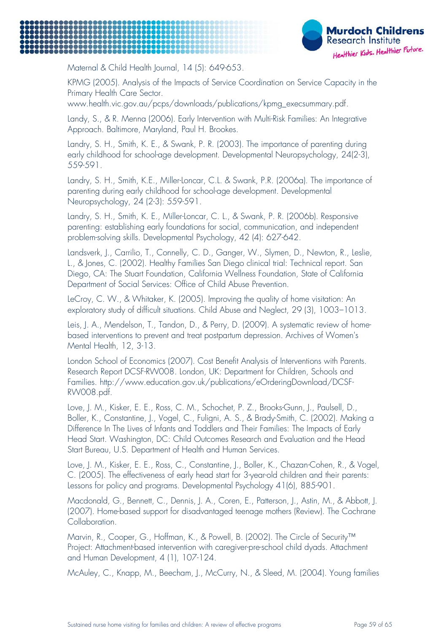



Maternal & Child Health Journal, 14 (5): 649-653.

KPMG (2005). Analysis of the Impacts of Service Coordination on Service Capacity in the Primary Health Care Sector.

www.health.vic.gov.au/pcps/downloads/publications/kpmg\_execsummary.pdf.

Landy, S., & R. Menna (2006). Early Intervention with Multi-Risk Families: An Integrative Approach. Baltimore, Maryland, Paul H. Brookes.

Landry, S. H., Smith, K. E., & Swank, P. R. (2003). The importance of parenting during early childhood for school-age development. Developmental Neuropsychology, 24(2-3), 559-591.

Landry, S. H., Smith, K.E., Miller-Loncar, C.L. & Swank, P.R. (2006a). The importance of parenting during early childhood for school-age development. Developmental Neuropsychology, 24 (2-3): 559-591.

Landry, S. H., Smith, K. E., Miller-Loncar, C. L., & Swank, P. R. (2006b). Responsive parenting: establishing early foundations for social, communication, and independent problem-solving skills. Developmental Psychology, 42 (4): 627-642.

Landsverk, J., Carrilio, T., Connelly, C. D., Ganger, W., Slymen, D., Newton, R., Leslie, L., & Jones, C. (2002). Healthy Families San Diego clinical trial: Technical report. San Diego, CA: The Stuart Foundation, California Wellness Foundation, State of California Department of Social Services: Office of Child Abuse Prevention.

LeCroy, C. W., & Whitaker, K. (2005). Improving the quality of home visitation: An exploratory study of difficult situations. Child Abuse and Neglect, 29 (3), 1003–1013.

Leis, J. A., Mendelson, T., Tandon, D., & Perry, D. (2009). A systematic review of homebased interventions to prevent and treat postpartum depression. Archives of Women's Mental Health, 12, 3-13.

London School of Economics (2007). Cost Benefit Analysis of Interventions with Parents. Research Report DCSF-RW008. London, UK: Department for Children, Schools and Families. http://www.education.gov.uk/publications/eOrderingDownload/DCSF-RW008.pdf.

Love, J. M., Kisker, E. E., Ross, C. M., Schochet, P. Z., Brooks-Gunn, J., Paulsell, D., Boller, K., Constantine, J., Vogel, C., Fuligni, A. S., & Brady-Smith, C. (2002). Making a Difference In The Lives of Infants and Toddlers and Their Families: The Impacts of Early Head Start. Washington, DC: Child Outcomes Research and Evaluation and the Head Start Bureau, U.S. Department of Health and Human Services.

Love, J. M., Kisker, E. E., Ross, C., Constantine, J., Boller, K., Chazan-Cohen, R., & Vogel, C. (2005). The effectiveness of early head start for 3-year-old children and their parents: Lessons for policy and programs. Developmental Psychology 41(6), 885-901.

Macdonald, G., Bennett, C., Dennis, J. A., Coren, E., Patterson, J., Astin, M., & Abbott, J. (2007). Home-based support for disadvantaged teenage mothers (Review). The Cochrane Collaboration.

Marvin, R., Cooper, G., Hoffman, K., & Powell, B. (2002). The Circle of Security™ Project: Attachment-based intervention with caregiver-pre-school child dyads. Attachment and Human Development, 4 (1), 107-124.

McAuley, C., Knapp, M., Beecham, J., McCurry, N., & Sleed, M. (2004). Young families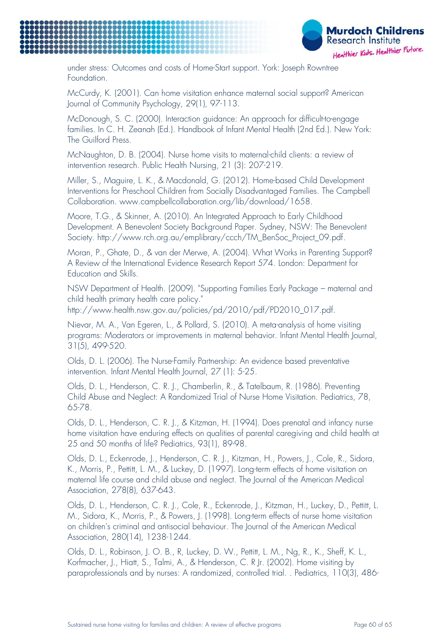



under stress: Outcomes and costs of Home-Start support. York: Joseph Rowntree Foundation.

McCurdy, K. (2001). Can home visitation enhance maternal social support? American Journal of Community Psychology, 29(1), 97-113.

McDonough, S. C. (2000). Interaction guidance: An approach for difficult-to-engage families. In C. H. Zeanah (Ed.). Handbook of Infant Mental Health (2nd Ed.). New York: The Guilford Press.

McNaughton, D. B. (2004). Nurse home visits to maternal-child clients: a review of intervention research. Public Health Nursing, 21 (3): 207-219.

Miller, S., Maguire, L. K., & Macdonald, G. (2012). Home-based Child Development Interventions for Preschool Children from Socially Disadvantaged Families. The Campbell Collaboration. www.campbellcollaboration.org/lib/download/1658.

Moore, T.G., & Skinner, A. (2010). An Integrated Approach to Early Childhood Development. A Benevolent Society Background Paper. Sydney, NSW: The Benevolent Society. http://www.rch.org.au/emplibrary/ccch/TM\_BenSoc\_Project\_09.pdf.

Moran, P., Ghate, D., & van der Merwe, A. (2004). What Works in Parenting Support? A Review of the International Evidence Research Report 574. London: Department for Education and Skills.

NSW Department of Health. (2009). "Supporting Families Early Package – maternal and child health primary health care policy."

http://www.health.nsw.gov.au/policies/pd/2010/pdf/PD2010\_017.pdf.

Nievar, M. A., Van Egeren, L., & Pollard, S. (2010). A meta-analysis of home visiting programs: Moderators or improvements in maternal behavior. Infant Mental Health Journal, 31(5), 499-520.

Olds, D. L. (2006). The Nurse-Family Partnership: An evidence based preventative intervention. Infant Mental Health Journal, 27 (1): 5-25.

Olds, D. L., Henderson, C. R. J., Chamberlin, R., & Tatelbaum, R. (1986). Preventing Child Abuse and Neglect: A Randomized Trial of Nurse Home Visitation. Pediatrics, 78, 65-78.

Olds, D. L., Henderson, C. R. J., & Kitzman, H. (1994). Does prenatal and infancy nurse home visitation have enduring effects on qualities of parental caregiving and child health at 25 and 50 months of life? Pediatrics, 93(1), 89-98.

Olds, D. L., Eckenrode, J., Henderson, C. R. J., Kitzman, H., Powers, J., Cole, R., Sidora, K., Morris, P., Pettitt, L. M., & Luckey, D. (1997). Long-term effects of home visitation on maternal life course and child abuse and neglect. The Journal of the American Medical Association, 278(8), 637-643.

Olds, D. L., Henderson, C. R. J., Cole, R., Eckenrode, J., Kitzman, H., Luckey, D., Pettitt, L. M., Sidora, K., Morris, P., & Powers, J. (1998). Long-term effects of nurse home visitation on children's criminal and antisocial behaviour. The Journal of the American Medical Association, 280(14), 1238-1244.

Olds, D. L., Robinson, J. O. B., R, Luckey, D. W., Pettitt, L. M., Ng, R., K., Sheff, K. L., Korfmacher, J., Hiatt, S., Talmi, A., & Henderson, C. R Jr. (2002). Home visiting by paraprofessionals and by nurses: A randomized, controlled trial. . Pediatrics, 110(3), 486-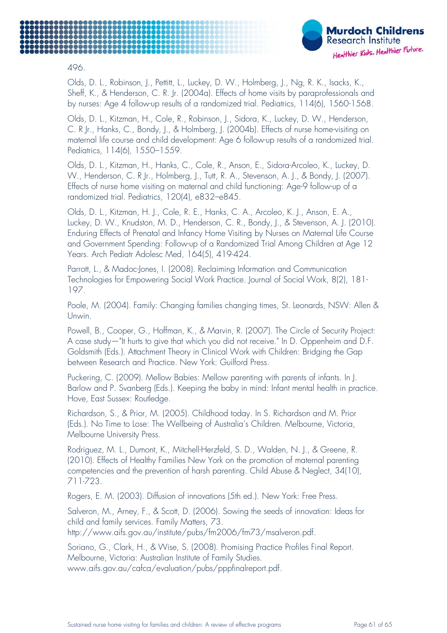



496.

Olds, D. L., Robinson, J., Pettitt, L., Luckey, D. W., Holmberg, J., Ng, R. K., Isacks, K., Sheff, K., & Henderson, C. R. Jr. (2004a). Effects of home visits by paraprofessionals and by nurses: Age 4 follow-up results of a randomized trial. Pediatrics, 114(6), 1560-1568.

Olds, D. L., Kitzman, H., Cole, R., Robinson, J., Sidora, K., Luckey, D. W., Henderson, C. R Jr., Hanks, C., Bondy, J., & Holmberg, J. (2004b). Effects of nurse home-visiting on maternal life course and child development: Age 6 follow-up results of a randomized trial. Pediatrics, 114(6), 1550–1559.

Olds, D. L., Kitzman, H., Hanks, C., Cole, R., Anson, E., Sidora-Arcoleo, K., Luckey, D. W., Henderson, C. R Jr., Holmberg, J., Tutt, R. A., Stevenson, A. J., & Bondy, J. (2007). Effects of nurse home visiting on maternal and child functioning: Age-9 follow-up of a randomized trial. Pediatrics, 120(4), e832–e845.

Olds, D. L., Kitzman, H. J., Cole, R. E., Hanks, C. A., Arcoleo, K. J., Anson, E. A., Luckey, D. W., Knudston, M. D., Henderson, C. R., Bondy, J., & Stevenson, A. J. (2010). Enduring Effects of Prenatal and Infancy Home Visiting by Nurses on Maternal Life Course and Government Spending: Follow-up of a Randomized Trial Among Children at Age 12 Years. Arch Pediatr Adolesc Med, 164(5), 419-424.

Parrott, L., & Madoc-Jones, I. (2008). Reclaiming Information and Communication Technologies for Empowering Social Work Practice. Journal of Social Work, 8(2), 181- 197.

Poole, M. (2004). Family: Changing families changing times, St. Leonards, NSW: Allen & Unwin.

Powell, B., Cooper, G., Hoffman, K., & Marvin, R. (2007). The Circle of Security Project: A case study—"It hurts to give that which you did not receive." In D. Oppenheim and D.F. Goldsmith (Eds.). Attachment Theory in Clinical Work with Children: Bridging the Gap between Research and Practice. New York: Guilford Press.

Puckering, C. (2009). Mellow Babies: Mellow parenting with parents of infants. In J. Barlow and P. Svanberg (Eds.). Keeping the baby in mind: Infant mental health in practice. Hove, East Sussex: Routledge.

Richardson, S., & Prior, M. (2005). Childhood today. In S. Richardson and M. Prior (Eds.). No Time to Lose: The Wellbeing of Australia's Children. Melbourne, Victoria, Melbourne University Press.

Rodriguez, M. L., Dumont, K., Mitchell-Herzfeld, S. D., Walden, N. J., & Greene, R. (2010). Effects of Healthy Families New York on the promotion of maternal parenting competencies and the prevention of harsh parenting. Child Abuse & Neglect, 34(10), 711-723.

Rogers, E. M. (2003). Diffusion of innovations (5th ed.). New York: Free Press.

Salveron, M., Arney, F., & Scott, D. (2006). Sowing the seeds of innovation: Ideas for child and family services. Family Matters, 73.

http://www.aifs.gov.au/institute/pubs/fm2006/fm73/msalveron.pdf.

Soriano, G., Clark, H., & Wise, S. (2008). Promising Practice Profiles Final Report. Melbourne, Victoria: Australian Institute of Family Studies. www.aifs.gov.au/cafca/evaluation/pubs/pppfinalreport.pdf.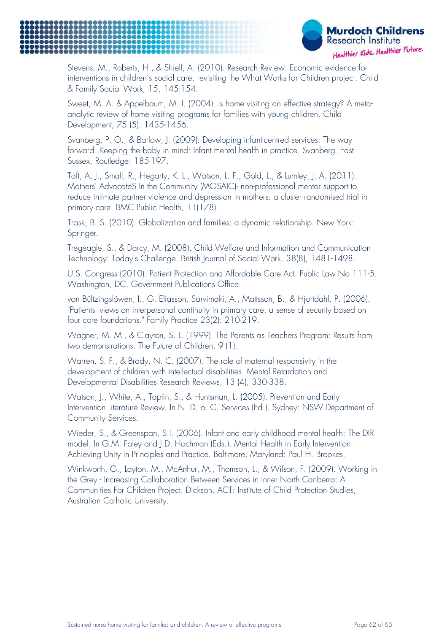



Stevens, M., Roberts, H., & Shiell, A. (2010). Research Review: Economic evidence for interventions in children's social care: revisiting the What Works for Children project. Child & Family Social Work, 15, 145-154.

Sweet, M. A. & Appelbaum, M. I. (2004). Is home visiting an effective strategy? A metaanalytic review of home visiting programs for families with young children. Child Development, 75 (5): 1435-1456.

Svanberg, P. O., & Barlow, J. (2009). Developing infant-centred services: The way forward. Keeping the baby in mind: Infant mental health in practice. Svanberg. East Sussex, Routledge: 185-197.

Taft, A. J., Small, R., Hegarty, K. L., Watson, L. F., Gold, L., & Lumley, J. A. (2011). Mothers' AdvocateS In the Community (MOSAIC)- non-professional mentor support to reduce intimate partner violence and depression in mothers: a cluster randomised trial in primary care. BMC Public Health, 11(178).

Trask, B. S. (2010). Globalization and families: a dynamic relationship. New York: Springer.

Tregeagle, S., & Darcy, M. (2008). Child Welfare and Information and Communication Technology: Today's Challenge. British Journal of Social Work, 38(8), 1481-1498.

U.S. Congress (2010). Patient Protection and Affordable Care Act. Public Law No 111-5. Washington, DC, Government Publications Office.

von Bültzingslöwen, I., G. Eliasson, Sarvimaki, A., Mattsson, B., & Hjortdahl, P. (2006). "Patients' views on interpersonal continuity in primary care: a sense of security based on four core foundations." Family Practice 23(2): 210-219.

Wagner, M. M., & Clayton, S. L. (1999). The Parents as Teachers Program: Results from two demonstrations. The Future of Children, 9 (1).

Warren, S. F., & Brady, N. C. (2007). The role of maternal responsivity in the development of children with intellectual disabilities. Mental Retardation and Developmental Disabilities Research Reviews, 13 (4), 330-338.

Watson, J., White, A., Taplin, S., & Huntsman, L. (2005). Prevention and Early Intervention Literature Review. In N. D. o. C. Services (Ed.). Sydney: NSW Department of Community Services.

Wieder, S., & Greenspan, S.I. (2006). Infant and early childhood mental health: The DIR model. In G.M. Foley and J.D. Hochman (Eds.). Mental Health in Early Intervention: Achieving Unity in Principles and Practice. Baltimore, Maryland: Paul H. Brookes.

Winkworth, G., Layton, M., McArthur, M., Thomson, L., & Wilson, F. (2009). Working in the Grey - Increasing Collaboration Between Services in Inner North Canberra: A Communities For Children Project. Dickson, ACT: Institute of Child Protection Studies, Australian Catholic University.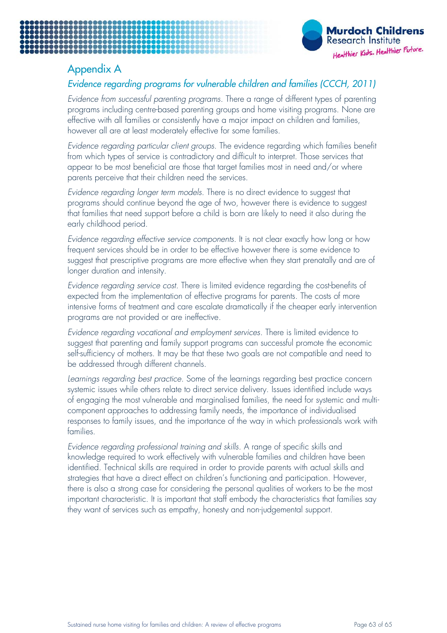



# <span id="page-67-0"></span>Appendix A

# *Evidence regarding programs for vulnerable children and families (CCCH, 2011)*

*Evidence from successful parenting programs.* There a range of different types of parenting programs including centre-based parenting groups and home visiting programs. None are effective with all families or consistently have a major impact on children and families, however all are at least moderately effective for some families.

*Evidence regarding particular client groups.* The evidence regarding which families benefit from which types of service is contradictory and difficult to interpret. Those services that appear to be most beneficial are those that target families most in need and/or where parents perceive that their children need the services.

*Evidence regarding longer term models.* There is no direct evidence to suggest that programs should continue beyond the age of two, however there is evidence to suggest that families that need support before a child is born are likely to need it also during the early childhood period.

*Evidence regarding effective service components.* It is not clear exactly how long or how frequent services should be in order to be effective however there is some evidence to suggest that prescriptive programs are more effective when they start prenatally and are of longer duration and intensity.

*Evidence regarding service cost.* There is limited evidence regarding the cost-benefits of expected from the implementation of effective programs for parents. The costs of more intensive forms of treatment and care escalate dramatically if the cheaper early intervention programs are not provided or are ineffective.

*Evidence regarding vocational and employment services.* There is limited evidence to suggest that parenting and family support programs can successful promote the economic self-sufficiency of mothers. It may be that these two goals are not compatible and need to be addressed through different channels.

*Learnings regarding best practice.* Some of the learnings regarding best practice concern systemic issues while others relate to direct service delivery. Issues identified include ways of engaging the most vulnerable and marginalised families, the need for systemic and multicomponent approaches to addressing family needs, the importance of individualised responses to family issues, and the importance of the way in which professionals work with families.

*Evidence regarding professional training and skills.* A range of specific skills and knowledge required to work effectively with vulnerable families and children have been identified. Technical skills are required in order to provide parents with actual skills and strategies that have a direct effect on children's functioning and participation. However, there is also a strong case for considering the personal qualities of workers to be the most important characteristic. It is important that staff embody the characteristics that families say they want of services such as empathy, honesty and non-judgemental support.